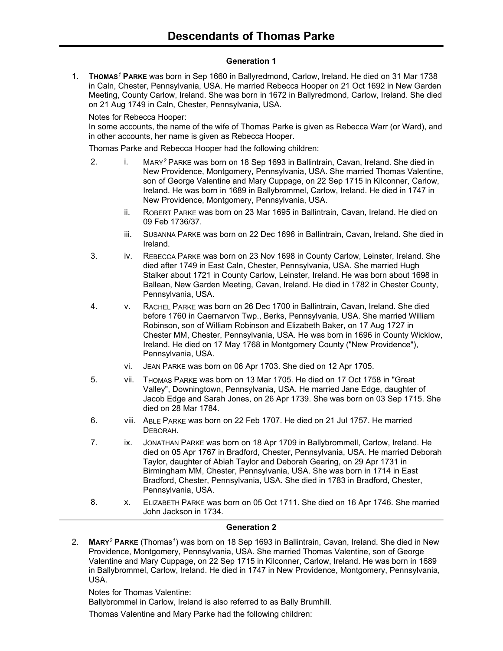### **Generation 1**

1. **THOMAS***<sup>1</sup>* **PARKE** was born in Sep 1660 in Ballyredmond, Carlow, Ireland. He died on 31 Mar 1738 in Caln, Chester, Pennsylvania, USA. He married Rebecca Hooper on 21 Oct 1692 in New Garden Meeting, County Carlow, Ireland. She was born in 1672 in Ballyredmond, Carlow, Ireland. She died on 21 Aug 1749 in Caln, Chester, Pennsylvania, USA.

Notes for Rebecca Hooper:

In some accounts, the name of the wife of Thomas Parke is given as Rebecca Warr (or Ward), and in other accounts, her name is given as Rebecca Hooper.

Thomas Parke and Rebecca Hooper had the following children:

- 2. i. MARY*<sup>2</sup>* PARKE was born on 18 Sep 1693 in Ballintrain, Cavan, Ireland. She died in New Providence, Montgomery, Pennsylvania, USA. She married Thomas Valentine, son of George Valentine and Mary Cuppage, on 22 Sep 1715 in Kilconner, Carlow, Ireland. He was born in 1689 in Ballybrommel, Carlow, Ireland. He died in 1747 in New Providence, Montgomery, Pennsylvania, USA.
	- ii. ROBERT PARKE was born on 23 Mar 1695 in Ballintrain, Cavan, Ireland. He died on 09 Feb 1736/37.
	- iii. SUSANNA PARKE was born on 22 Dec 1696 in Ballintrain, Cavan, Ireland. She died in Ireland.
- 3. iv. REBECCA PARKE was born on 23 Nov 1698 in County Carlow, Leinster, Ireland. She died after 1749 in East Caln, Chester, Pennsylvania, USA. She married Hugh Stalker about 1721 in County Carlow, Leinster, Ireland. He was born about 1698 in Ballean, New Garden Meeting, Cavan, Ireland. He died in 1782 in Chester County, Pennsylvania, USA.
- 4. v. RACHEL PARKE was born on 26 Dec 1700 in Ballintrain, Cavan, Ireland. She died before 1760 in Caernarvon Twp., Berks, Pennsylvania, USA. She married William Robinson, son of William Robinson and Elizabeth Baker, on 17 Aug 1727 in Chester MM, Chester, Pennsylvania, USA. He was born in 1696 in County Wicklow, Ireland. He died on 17 May 1768 in Montgomery County ("New Providence"), Pennsylvania, USA.
	- vi. JEAN PARKE was born on 06 Apr 1703. She died on 12 Apr 1705.
- 5. vii. THOMAS PARKE was born on 13 Mar 1705. He died on 17 Oct 1758 in "Great Valley", Downingtown, Pennsylvania, USA. He married Jane Edge, daughter of Jacob Edge and Sarah Jones, on 26 Apr 1739. She was born on 03 Sep 1715. She died on 28 Mar 1784.
- 6. viii. ABLE PARKE was born on 22 Feb 1707. He died on 21 Jul 1757. He married DEBORAH.
- 7. ix. JONATHAN PARKE was born on 18 Apr 1709 in Ballybrommell, Carlow, Ireland. He died on 05 Apr 1767 in Bradford, Chester, Pennsylvania, USA. He married Deborah Taylor, daughter of Abiah Taylor and Deborah Gearing, on 29 Apr 1731 in Birmingham MM, Chester, Pennsylvania, USA. She was born in 1714 in East Bradford, Chester, Pennsylvania, USA. She died in 1783 in Bradford, Chester, Pennsylvania, USA.
- 8. X. ELIZABETH PARKE was born on 05 Oct 1711. She died on 16 Apr 1746. She married John Jackson in 1734.

### **Generation 2**

2. **MARY***<sup>2</sup>* **PARKE** (Thomas*<sup>1</sup>* ) was born on 18 Sep 1693 in Ballintrain, Cavan, Ireland. She died in New Providence, Montgomery, Pennsylvania, USA. She married Thomas Valentine, son of George Valentine and Mary Cuppage, on 22 Sep 1715 in Kilconner, Carlow, Ireland. He was born in 1689 in Ballybrommel, Carlow, Ireland. He died in 1747 in New Providence, Montgomery, Pennsylvania, USA.

Notes for Thomas Valentine:

Ballybrommel in Carlow, Ireland is also referred to as Bally Brumhill.

Thomas Valentine and Mary Parke had the following children: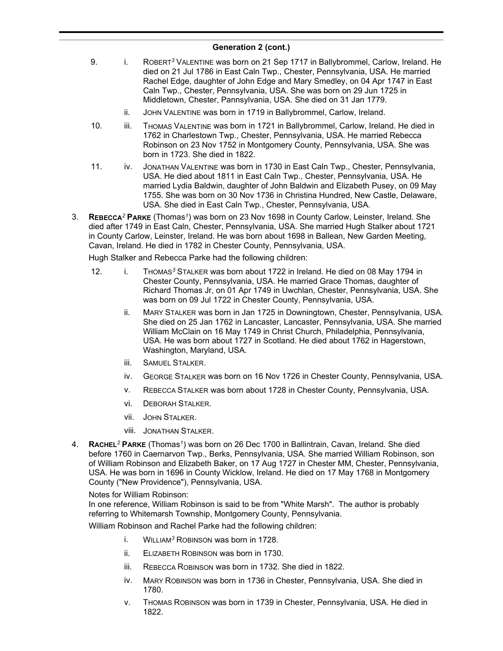- 9. i. ROBERT*<sup>3</sup>* VALENTINE was born on 21 Sep 1717 in Ballybrommel, Carlow, Ireland. He died on 21 Jul 1786 in East Caln Twp., Chester, Pennsylvania, USA. He married Rachel Edge, daughter of John Edge and Mary Smedley, on 04 Apr 1747 in East Caln Twp., Chester, Pennsylvania, USA. She was born on 29 Jun 1725 in Middletown, Chester, Pannsylvania, USA. She died on 31 Jan 1779.
	- ii. JOHN VALENTINE was born in 1719 in Ballybrommel, Carlow, Ireland.
- 10. iii. THOMAS VALENTINE was born in 1721 in Ballybrommel, Carlow, Ireland. He died in 1762 in Charlestown Twp., Chester, Pennsylvania, USA. He married Rebecca Robinson on 23 Nov 1752 in Montgomery County, Pennsylvania, USA. She was born in 1723. She died in 1822.
- 11. iv. JONATHAN VALENTINE was born in 1730 in East Caln Twp., Chester, Pennsylvania, USA. He died about 1811 in East Caln Twp., Chester, Pennsylvania, USA. He married Lydia Baldwin, daughter of John Baldwin and Elizabeth Pusey, on 09 May 1755. She was born on 30 Nov 1736 in Christina Hundred, New Castle, Delaware, USA. She died in East Caln Twp., Chester, Pennsylvania, USA.
- 3. **REBECCA***<sup>2</sup>* **PARKE** (Thomas*<sup>1</sup>* ) was born on 23 Nov 1698 in County Carlow, Leinster, Ireland. She died after 1749 in East Caln, Chester, Pennsylvania, USA. She married Hugh Stalker about 1721 in County Carlow, Leinster, Ireland. He was born about 1698 in Ballean, New Garden Meeting, Cavan, Ireland. He died in 1782 in Chester County, Pennsylvania, USA.

Hugh Stalker and Rebecca Parke had the following children:

- 12. i. THOMAS*<sup>3</sup>* STALKER was born about 1722 in Ireland. He died on 08 May 1794 in Chester County, Pennsylvania, USA. He married Grace Thomas, daughter of Richard Thomas Jr, on 01 Apr 1749 in Uwchlan, Chester, Pennsylvania, USA. She was born on 09 Jul 1722 in Chester County, Pennsylvania, USA.
	- ii. MARY STALKER was born in Jan 1725 in Downingtown, Chester, Pennsylvania, USA. She died on 25 Jan 1762 in Lancaster, Lancaster, Pennsylvania, USA. She married William McClain on 16 May 1749 in Christ Church, Philadelphia, Pennsylvania, USA. He was born about 1727 in Scotland. He died about 1762 in Hagerstown, Washington, Maryland, USA.
	- iii. SAMUEL STALKER.
	- iv. GEORGE STALKER was born on 16 Nov 1726 in Chester County, Pennsylvania, USA.
	- v. REBECCA STALKER was born about 1728 in Chester County, Pennsylvania, USA.
	- vi. DEBORAH STALKER.
	- vii. JOHN STALKER.
	- viii. JONATHAN STALKER.
- 4. **RACHEL***<sup>2</sup>* **PARKE** (Thomas*<sup>1</sup>* ) was born on 26 Dec 1700 in Ballintrain, Cavan, Ireland. She died before 1760 in Caernarvon Twp., Berks, Pennsylvania, USA. She married William Robinson, son of William Robinson and Elizabeth Baker, on 17 Aug 1727 in Chester MM, Chester, Pennsylvania, USA. He was born in 1696 in County Wicklow, Ireland. He died on 17 May 1768 in Montgomery County ("New Providence"), Pennsylvania, USA.

### Notes for William Robinson:

In one reference, William Robinson is said to be from "White Marsh". The author is probably referring to Whitemarsh Township, Montgomery County, Pennsylvania.

William Robinson and Rachel Parke had the following children:

- i. WILLIAM*<sup>3</sup>* ROBINSON was born in 1728.
- ii. ELIZABETH ROBINSON was born in 1730.
- iii. REBECCA ROBINSON was born in 1732. She died in 1822.
- iv. MARY ROBINSON was born in 1736 in Chester, Pennsylvania, USA. She died in 1780.
- v. THOMAS ROBINSON was born in 1739 in Chester, Pennsylvania, USA. He died in 1822.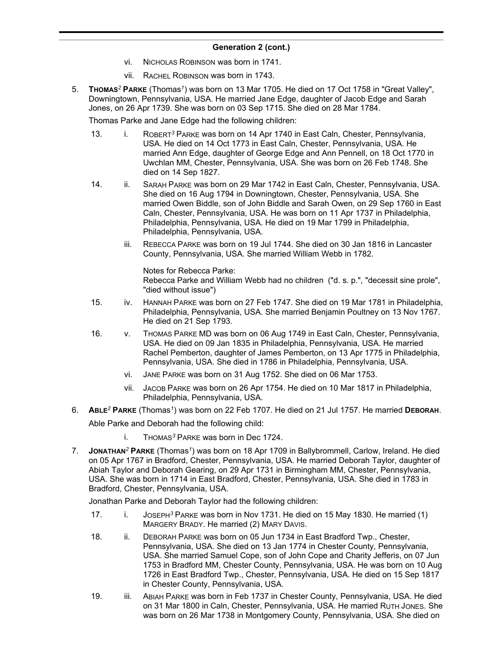- vi. NICHOLAS ROBINSON was born in 1741.
- vii. RACHEL ROBINSON was born in 1743.
- 5. **THOMAS***<sup>2</sup>* **PARKE** (Thomas*<sup>1</sup>* ) was born on 13 Mar 1705. He died on 17 Oct 1758 in "Great Valley", Downingtown, Pennsylvania, USA. He married Jane Edge, daughter of Jacob Edge and Sarah Jones, on 26 Apr 1739. She was born on 03 Sep 1715. She died on 28 Mar 1784.

Thomas Parke and Jane Edge had the following children:

- 13. i. ROBERT*<sup>3</sup>* PARKE was born on 14 Apr 1740 in East Caln, Chester, Pennsylvania, USA. He died on 14 Oct 1773 in East Caln, Chester, Pennsylvania, USA. He married Ann Edge, daughter of George Edge and Ann Pennell, on 18 Oct 1770 in Uwchlan MM, Chester, Pennsylvania, USA. She was born on 26 Feb 1748. She died on 14 Sep 1827.
- 14. ii. SARAH PARKE was born on 29 Mar 1742 in East Caln, Chester, Pennsylvania, USA. She died on 16 Aug 1794 in Downingtown, Chester, Pennsylvania, USA. She married Owen Biddle, son of John Biddle and Sarah Owen, on 29 Sep 1760 in East Caln, Chester, Pennsylvania, USA. He was born on 11 Apr 1737 in Philadelphia, Philadelphia, Pennsylvania, USA. He died on 19 Mar 1799 in Philadelphia, Philadelphia, Pennsylvania, USA.
	- iii. REBECCA PARKE was born on 19 Jul 1744. She died on 30 Jan 1816 in Lancaster County, Pennsylvania, USA. She married William Webb in 1782.

Notes for Rebecca Parke: Rebecca Parke and William Webb had no children ("d. s. p.", "decessit sine prole", "died without issue")

- 15. iv. HANNAH PARKE was born on 27 Feb 1747. She died on 19 Mar 1781 in Philadelphia, Philadelphia, Pennsylvania, USA. She married Benjamin Poultney on 13 Nov 1767. He died on 21 Sep 1793.
- 16. v. THOMAS PARKE MD was born on 06 Aug 1749 in East Caln, Chester, Pennsylvania, USA. He died on 09 Jan 1835 in Philadelphia, Pennsylvania, USA. He married Rachel Pemberton, daughter of James Pemberton, on 13 Apr 1775 in Philadelphia, Pennsylvania, USA. She died in 1786 in Philadelphia, Pennsylvania, USA.
	- vi. JANE PARKE was born on 31 Aug 1752. She died on 06 Mar 1753.
	- vii. JACOB PARKE was born on 26 Apr 1754. He died on 10 Mar 1817 in Philadelphia, Philadelphia, Pennsylvania, USA.
- 6. **ABLE***<sup>2</sup>* **PARKE** (Thomas*<sup>1</sup>* ) was born on 22 Feb 1707. He died on 21 Jul 1757. He married **DEBORAH**.

Able Parke and Deborah had the following child:

- i. THOMAS*<sup>3</sup>* PARKE was born in Dec 1724.
- 7. **JONATHAN***<sup>2</sup>* **PARKE** (Thomas*<sup>1</sup>* ) was born on 18 Apr 1709 in Ballybrommell, Carlow, Ireland. He died on 05 Apr 1767 in Bradford, Chester, Pennsylvania, USA. He married Deborah Taylor, daughter of Abiah Taylor and Deborah Gearing, on 29 Apr 1731 in Birmingham MM, Chester, Pennsylvania, USA. She was born in 1714 in East Bradford, Chester, Pennsylvania, USA. She died in 1783 in Bradford, Chester, Pennsylvania, USA.

Jonathan Parke and Deborah Taylor had the following children:

- 17. i. JOSEPH*<sup>3</sup>* PARKE was born in Nov 1731. He died on 15 May 1830. He married (1) MARGERY BRADY. He married (2) MARY DAVIS.
- 18. ii. DEBORAH PARKE was born on 05 Jun 1734 in East Bradford Twp., Chester, Pennsylvania, USA. She died on 13 Jan 1774 in Chester County, Pennsylvania, USA. She married Samuel Cope, son of John Cope and Charity Jefferis, on 07 Jun 1753 in Bradford MM, Chester County, Pennsylvania, USA. He was born on 10 Aug 1726 in East Bradford Twp., Chester, Pennsylvania, USA. He died on 15 Sep 1817 in Chester County, Pennsylvania, USA.
- 19. iii. ABIAH PARKE was born in Feb 1737 in Chester County, Pennsylvania, USA. He died on 31 Mar 1800 in Caln, Chester, Pennsylvania, USA. He married RUTH JONES. She was born on 26 Mar 1738 in Montgomery County, Pennsylvania, USA. She died on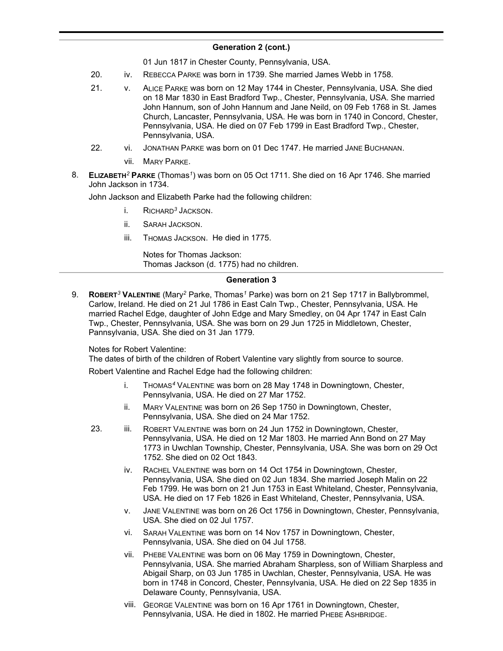### **Generation 2 (cont.)**  $\sum_{i=1}^{n}$

01 Jun 1817 in Chester County, Pennsylvania, USA.

- 20. iv. REBECCA PARKE was born in 1739. She married James Webb in 1758.
- 21. v. ALICE PARKE was born on 12 May 1744 in Chester, Pennsylvania, USA. She died on 18 Mar 1830 in East Bradford Twp., Chester, Pennsylvania, USA. She married John Hannum, son of John Hannum and Jane Neild, on 09 Feb 1768 in St. James Church, Lancaster, Pennsylvania, USA. He was born in 1740 in Concord, Chester, Pennsylvania, USA. He died on 07 Feb 1799 in East Bradford Twp., Chester, Pennsylvania, USA.
- 22. vi. JONATHAN PARKE was born on 01 Dec 1747. He married JANE BUCHANAN.
	- vii. MARY PARKE.
- 8. **ELIZABETH***<sup>2</sup>* **PARKE** (Thomas*<sup>1</sup>* ) was born on 05 Oct 1711. She died on 16 Apr 1746. She married John Jackson in 1734.

John Jackson and Elizabeth Parke had the following children:

- i. RICHARD*<sup>3</sup>* JACKSON.
- ii. SARAH JACKSON.
- iii. THOMAS JACKSON. He died in 1775.

Notes for Thomas Jackson: Thomas Jackson (d. 1775) had no children.

### **Generation 3**

9. **ROBERT***<sup>3</sup>* **VALENTINE** (Mary*<sup>2</sup>* Parke, Thomas*<sup>1</sup>* Parke) was born on 21 Sep 1717 in Ballybrommel, Carlow, Ireland. He died on 21 Jul 1786 in East Caln Twp., Chester, Pennsylvania, USA. He married Rachel Edge, daughter of John Edge and Mary Smedley, on 04 Apr 1747 in East Caln Twp., Chester, Pennsylvania, USA. She was born on 29 Jun 1725 in Middletown, Chester, Pannsylvania, USA. She died on 31 Jan 1779.

Notes for Robert Valentine:

The dates of birth of the children of Robert Valentine vary slightly from source to source.

Robert Valentine and Rachel Edge had the following children:

- i. THOMAS*<sup>4</sup>* VALENTINE was born on 28 May 1748 in Downingtown, Chester, Pennsylvania, USA. He died on 27 Mar 1752.
- ii. MARY VALENTINE was born on 26 Sep 1750 in Downingtown, Chester, Pennsylvania, USA. She died on 24 Mar 1752.
- 23. iii. ROBERT VALENTINE was born on 24 Jun 1752 in Downingtown, Chester, Pennsylvania, USA. He died on 12 Mar 1803. He married Ann Bond on 27 May 1773 in Uwchlan Township, Chester, Pennsylvania, USA. She was born on 29 Oct 1752. She died on 02 Oct 1843.
	- iv. RACHEL VALENTINE was born on 14 Oct 1754 in Downingtown, Chester, Pennsylvania, USA. She died on 02 Jun 1834. She married Joseph Malin on 22 Feb 1799. He was born on 21 Jun 1753 in East Whiteland, Chester, Pennsylvania, USA. He died on 17 Feb 1826 in East Whiteland, Chester, Pennsylvania, USA.
	- v. JANE VALENTINE was born on 26 Oct 1756 in Downingtown, Chester, Pennsylvania, USA. She died on 02 Jul 1757.
	- vi. SARAH VALENTINE was born on 14 Nov 1757 in Downingtown, Chester, Pennsylvania, USA. She died on 04 Jul 1758.
	- vii. PHEBE VALENTINE was born on 06 May 1759 in Downingtown, Chester, Pennsylvania, USA. She married Abraham Sharpless, son of William Sharpless and Abigail Sharp, on 03 Jun 1785 in Uwchlan, Chester, Pennsylvania, USA. He was born in 1748 in Concord, Chester, Pennsylvania, USA. He died on 22 Sep 1835 in Delaware County, Pennsylvania, USA.
	- viii. GEORGE VALENTINE was born on 16 Apr 1761 in Downingtown, Chester, Pennsylvania, USA. He died in 1802. He married PHEBE ASHBRIDGE.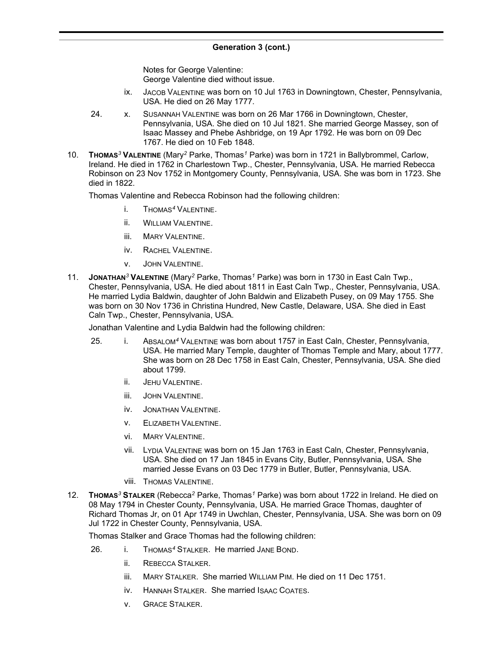Notes for George Valentine: George Valentine died without issue.

- ix. JACOB VALENTINE was born on 10 Jul 1763 in Downingtown, Chester, Pennsylvania, USA. He died on 26 May 1777.
- 24. x. SUSANNAH VALENTINE was born on 26 Mar 1766 in Downingtown, Chester, Pennsylvania, USA. She died on 10 Jul 1821. She married George Massey, son of Isaac Massey and Phebe Ashbridge, on 19 Apr 1792. He was born on 09 Dec 1767. He died on 10 Feb 1848.
- 10. **THOMAS***<sup>3</sup>* **VALENTINE** (Mary*<sup>2</sup>* Parke, Thomas*<sup>1</sup>* Parke) was born in 1721 in Ballybrommel, Carlow, Ireland. He died in 1762 in Charlestown Twp., Chester, Pennsylvania, USA. He married Rebecca Robinson on 23 Nov 1752 in Montgomery County, Pennsylvania, USA. She was born in 1723. She died in 1822.

Thomas Valentine and Rebecca Robinson had the following children:

- i. THOMAS*<sup>4</sup>* VALENTINE.
- ii. WILLIAM VALENTINE.
- iii. MARY VALENTINE.
- iv. RACHEL VALENTINE.
- v. JOHN VALENTINE.
- 11. **JONATHAN***<sup>3</sup>* **VALENTINE** (Mary*<sup>2</sup>* Parke, Thomas*<sup>1</sup>* Parke) was born in 1730 in East Caln Twp., Chester, Pennsylvania, USA. He died about 1811 in East Caln Twp., Chester, Pennsylvania, USA. He married Lydia Baldwin, daughter of John Baldwin and Elizabeth Pusey, on 09 May 1755. She was born on 30 Nov 1736 in Christina Hundred, New Castle, Delaware, USA. She died in East Caln Twp., Chester, Pennsylvania, USA.

Jonathan Valentine and Lydia Baldwin had the following children:

- 25. i. ABSALOM*<sup>4</sup>* VALENTINE was born about 1757 in East Caln, Chester, Pennsylvania, USA. He married Mary Temple, daughter of Thomas Temple and Mary, about 1777. She was born on 28 Dec 1758 in East Caln, Chester, Pennsylvania, USA. She died about 1799.
	- ii. JEHU VALENTINE.
	- iii. JOHN VALENTINE.
	- iv. JONATHAN VALENTINE.
	- v. ELIZABETH VALENTINE.
	- vi. MARY VALENTINE.
	- vii. LYDIA VALENTINE was born on 15 Jan 1763 in East Caln, Chester, Pennsylvania, USA. She died on 17 Jan 1845 in Evans City, Butler, Pennsylvania, USA. She married Jesse Evans on 03 Dec 1779 in Butler, Butler, Pennsylvania, USA.
	- viii. THOMAS VALENTINE.
- 12. **THOMAS***<sup>3</sup>* **STALKER** (Rebecca*<sup>2</sup>* Parke, Thomas*<sup>1</sup>* Parke) was born about 1722 in Ireland. He died on 08 May 1794 in Chester County, Pennsylvania, USA. He married Grace Thomas, daughter of Richard Thomas Jr, on 01 Apr 1749 in Uwchlan, Chester, Pennsylvania, USA. She was born on 09 Jul 1722 in Chester County, Pennsylvania, USA.

Thomas Stalker and Grace Thomas had the following children:

- 26. i. THOMAS*<sup>4</sup>* STALKER. He married JANE BOND.
	- ii. REBECCA STALKER.
	- iii. MARY STALKER. She married WILLIAM PIM. He died on 11 Dec 1751.
	- iv. HANNAH STALKER. She married ISAAC COATES.
	- v. GRACE STALKER.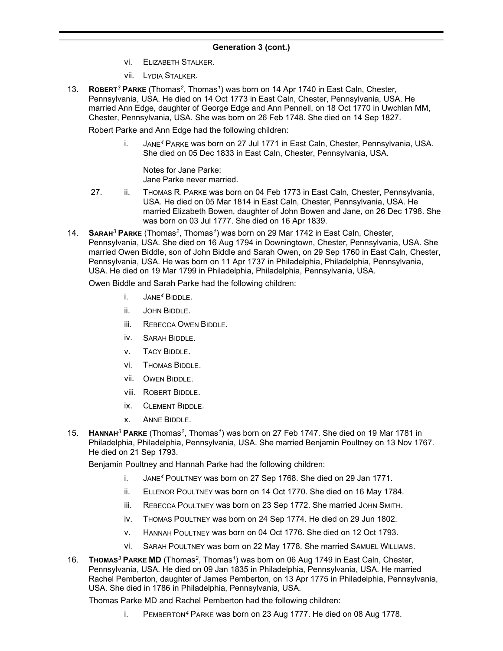- vi. ELIZABETH STALKER.
- vii. LYDIA STALKER.
- 13. **ROBERT***<sup>3</sup>* **PARKE** (Thomas*<sup>2</sup>* , Thomas*<sup>1</sup>* ) was born on 14 Apr 1740 in East Caln, Chester, Pennsylvania, USA. He died on 14 Oct 1773 in East Caln, Chester, Pennsylvania, USA. He married Ann Edge, daughter of George Edge and Ann Pennell, on 18 Oct 1770 in Uwchlan MM, Chester, Pennsylvania, USA. She was born on 26 Feb 1748. She died on 14 Sep 1827.

Robert Parke and Ann Edge had the following children:

i. JANE*<sup>4</sup>* PARKE was born on 27 Jul 1771 in East Caln, Chester, Pennsylvania, USA. She died on 05 Dec 1833 in East Caln, Chester, Pennsylvania, USA.

Notes for Jane Parke: Jane Parke never married.

- 27. ii. THOMAS R. PARKE was born on 04 Feb 1773 in East Caln, Chester, Pennsylvania, USA. He died on 05 Mar 1814 in East Caln, Chester, Pennsylvania, USA. He married Elizabeth Bowen, daughter of John Bowen and Jane, on 26 Dec 1798. She was born on 03 Jul 1777. She died on 16 Apr 1839.
- 14. **SARAH***<sup>3</sup>* **PARKE** (Thomas*<sup>2</sup>* , Thomas*<sup>1</sup>* ) was born on 29 Mar 1742 in East Caln, Chester, Pennsylvania, USA. She died on 16 Aug 1794 in Downingtown, Chester, Pennsylvania, USA. She married Owen Biddle, son of John Biddle and Sarah Owen, on 29 Sep 1760 in East Caln, Chester, Pennsylvania, USA. He was born on 11 Apr 1737 in Philadelphia, Philadelphia, Pennsylvania, USA. He died on 19 Mar 1799 in Philadelphia, Philadelphia, Pennsylvania, USA.

Owen Biddle and Sarah Parke had the following children:

- i. JANE*<sup>4</sup>* BIDDLE.
- ii. JOHN BIDDLE.
- iii. REBECCA OWEN BIDDLE.
- iv. SARAH BIDDLE.
- v. TACY BIDDLE.
- vi. THOMAS BIDDLE.
- vii. OWEN BIDDLE.
- viii. ROBERT BIDDLE.
- ix. CLEMENT BIDDLE.
- x. ANNE BIDDLE.
- 15. **HANNAH***<sup>3</sup>* **PARKE** (Thomas*<sup>2</sup>* , Thomas*<sup>1</sup>* ) was born on 27 Feb 1747. She died on 19 Mar 1781 in Philadelphia, Philadelphia, Pennsylvania, USA. She married Benjamin Poultney on 13 Nov 1767. He died on 21 Sep 1793.

Benjamin Poultney and Hannah Parke had the following children:

- i. JANE*<sup>4</sup>* POULTNEY was born on 27 Sep 1768. She died on 29 Jan 1771.
- ii. ELLENOR POULTNEY was born on 14 Oct 1770. She died on 16 May 1784.
- iii. REBECCA POULTNEY was born on 23 Sep 1772. She married JOHN SMITH.
- iv. THOMAS POULTNEY was born on 24 Sep 1774. He died on 29 Jun 1802.
- v. HANNAH POULTNEY was born on 04 Oct 1776. She died on 12 Oct 1793.
- vi. SARAH POULTNEY was born on 22 May 1778. She married SAMUEL WILLIAMS.
- 16. **THOMAS***<sup>3</sup>* **PARKE MD** (Thomas*<sup>2</sup>* , Thomas*<sup>1</sup>* ) was born on 06 Aug 1749 in East Caln, Chester, Pennsylvania, USA. He died on 09 Jan 1835 in Philadelphia, Pennsylvania, USA. He married Rachel Pemberton, daughter of James Pemberton, on 13 Apr 1775 in Philadelphia, Pennsylvania, USA. She died in 1786 in Philadelphia, Pennsylvania, USA.

Thomas Parke MD and Rachel Pemberton had the following children:

i. PEMBERTON*<sup>4</sup>* PARKE was born on 23 Aug 1777. He died on 08 Aug 1778.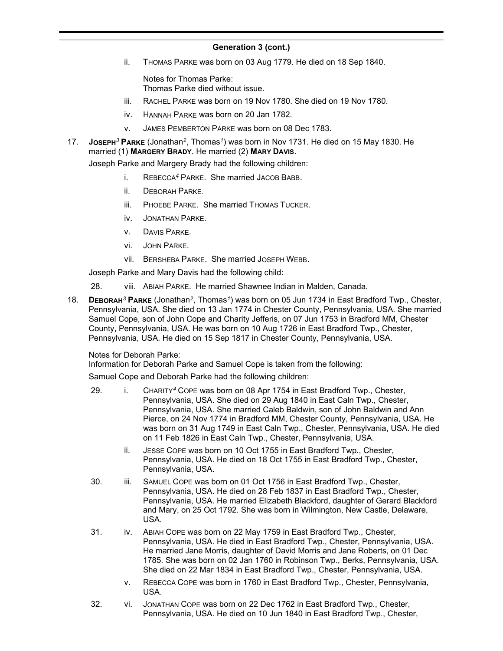ii. THOMAS PARKE was born on 03 Aug 1779. He died on 18 Sep 1840.

Notes for Thomas Parke: Thomas Parke died without issue.

- iii. RACHEL PARKE was born on 19 Nov 1780. She died on 19 Nov 1780.
- iv. HANNAH PARKE was born on 20 Jan 1782.
- v. JAMES PEMBERTON PARKE was born on 08 Dec 1783.
- 17. **JOSEPH***<sup>3</sup>* **PARKE** (Jonathan*<sup>2</sup>* , Thomas*<sup>1</sup>* ) was born in Nov 1731. He died on 15 May 1830. He married (1) **MARGERY BRADY**. He married (2) **MARY DAVIS**.

Joseph Parke and Margery Brady had the following children:

- i. REBECCA*<sup>4</sup>* PARKE. She married JACOB BABB.
- ii. DEBORAH PARKE.
- iii. PHOEBE PARKE. She married THOMAS TUCKER.
- iv. JONATHAN PARKE.
- v. DAVIS PARKE.
- vi. JOHN PARKE.
- vii. BERSHEBA PARKE. She married JOSEPH WEBB.

Joseph Parke and Mary Davis had the following child:

- 28. viii. ABIAH PARKE. He married Shawnee Indian in Malden, Canada.
- 18. **DEBORAH***<sup>3</sup>* **PARKE** (Jonathan*<sup>2</sup>* , Thomas*<sup>1</sup>* ) was born on 05 Jun 1734 in East Bradford Twp., Chester, Pennsylvania, USA. She died on 13 Jan 1774 in Chester County, Pennsylvania, USA. She married Samuel Cope, son of John Cope and Charity Jefferis, on 07 Jun 1753 in Bradford MM, Chester County, Pennsylvania, USA. He was born on 10 Aug 1726 in East Bradford Twp., Chester, Pennsylvania, USA. He died on 15 Sep 1817 in Chester County, Pennsylvania, USA.

Notes for Deborah Parke:

Information for Deborah Parke and Samuel Cope is taken from the following:

Samuel Cope and Deborah Parke had the following children:

- 29. i. CHARITY*<sup>4</sup>* COPE was born on 08 Apr 1754 in East Bradford Twp., Chester, Pennsylvania, USA. She died on 29 Aug 1840 in East Caln Twp., Chester, Pennsylvania, USA. She married Caleb Baldwin, son of John Baldwin and Ann Pierce, on 24 Nov 1774 in Bradford MM, Chester County, Pennsylvania, USA. He was born on 31 Aug 1749 in East Caln Twp., Chester, Pennsylvania, USA. He died on 11 Feb 1826 in East Caln Twp., Chester, Pennsylvania, USA.
	- ii. JESSE COPE was born on 10 Oct 1755 in East Bradford Twp., Chester, Pennsylvania, USA. He died on 18 Oct 1755 in East Bradford Twp., Chester, Pennsylvania, USA.
- 30. iii. SAMUEL COPE was born on 01 Oct 1756 in East Bradford Twp., Chester, Pennsylvania, USA. He died on 28 Feb 1837 in East Bradford Twp., Chester, Pennsylvania, USA. He married Elizabeth Blackford, daughter of Gerard Blackford and Mary, on 25 Oct 1792. She was born in Wilmington, New Castle, Delaware, USA.
- 31. iv. ABIAH COPE was born on 22 May 1759 in East Bradford Twp., Chester, Pennsylvania, USA. He died in East Bradford Twp., Chester, Pennsylvania, USA. He married Jane Morris, daughter of David Morris and Jane Roberts, on 01 Dec 1785. She was born on 02 Jan 1760 in Robinson Twp., Berks, Pennsylvania, USA. She died on 22 Mar 1834 in East Bradford Twp., Chester, Pennsylvania, USA.
	- v. REBECCA COPE was born in 1760 in East Bradford Twp., Chester, Pennsylvania, USA.
- 32. vi. JONATHAN COPE was born on 22 Dec 1762 in East Bradford Twp., Chester, Pennsylvania, USA. He died on 10 Jun 1840 in East Bradford Twp., Chester,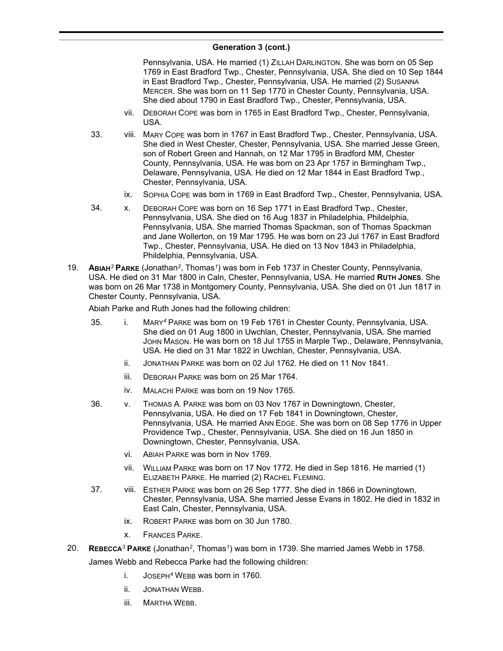Pennsylvania, USA. He married (1) ZILLAH DARLINGTON. She was born on 05 Sep 1769 in East Bradford Twp., Chester, Pennsylvania, USA. She died on 10 Sep 1844 in East Bradford Twp., Chester, Pennsylvania, USA. He married (2) SUSANNA MERCER. She was born on 11 Sep 1770 in Chester County, Pennsylvania, USA. She died about 1790 in East Bradford Twp., Chester, Pennsylvania, USA.

- vii. DEBORAH COPE was born in 1765 in East Bradford Twp., Chester, Pennsylvania, USA.
- 33. viii. MARY COPE was born in 1767 in East Bradford Twp., Chester, Pennsylvania, USA. She died in West Chester, Chester, Pennsylvania, USA. She married Jesse Green, son of Robert Green and Hannah, on 12 Mar 1795 in Bradford MM, Chester County, Pennsylvania, USA. He was born on 23 Apr 1757 in Birmingham Twp., Delaware, Pennsylvania, USA. He died on 12 Mar 1844 in East Bradford Twp., Chester, Pennsylvania, USA.
	- ix. SOPHIA COPE was born in 1769 in East Bradford Twp., Chester, Pennsylvania, USA.
- 34. x. DEBORAH COPE was born on 16 Sep 1771 in East Bradford Twp., Chester, Pennsylvania, USA. She died on 16 Aug 1837 in Philadelphia, Phildelphia, Pennsylvania, USA. She married Thomas Spackman, son of Thomas Spackman and Jane Wollerton, on 19 Mar 1795. He was born on 23 Jul 1767 in East Bradford Twp., Chester, Pennsylvania, USA. He died on 13 Nov 1843 in Philadelphia, Phildelphia, Pennsylvania, USA.
- 19. **ABIAH***<sup>3</sup>* **PARKE** (Jonathan*<sup>2</sup>* , Thomas*<sup>1</sup>* ) was born in Feb 1737 in Chester County, Pennsylvania, USA. He died on 31 Mar 1800 in Caln, Chester, Pennsylvania, USA. He married **RUTH JONES**. She was born on 26 Mar 1738 in Montgomery County, Pennsylvania, USA. She died on 01 Jun 1817 in Chester County, Pennsylvania, USA.

Abiah Parke and Ruth Jones had the following children:

- 35. i. MARY*<sup>4</sup>* PARKE was born on 19 Feb 1761 in Chester County, Pennsylvania, USA. She died on 01 Aug 1800 in Uwchlan, Chester, Pennsylvania, USA. She married JOHN MASON. He was born on 18 Jul 1755 in Marple Twp., Delaware, Pennsylvania, USA. He died on 31 Mar 1822 in Uwchlan, Chester, Pennsylvania, USA.
	- ii. JONATHAN PARKE was born on 02 Jul 1762. He died on 11 Nov 1841.
	- iii. DEBORAH PARKE was born on 25 Mar 1764.
	- iv. MALACHI PARKE was born on 19 Nov 1765.
- 36. v. THOMAS A. PARKE was born on 03 Nov 1767 in Downingtown, Chester, Pennsylvania, USA. He died on 17 Feb 1841 in Downingtown, Chester, Pennsylvania, USA. He married ANN EDGE. She was born on 08 Sep 1776 in Upper Providence Twp., Chester, Pennsylvania, USA. She died on 16 Jun 1850 in Downingtown, Chester, Pennsylvania, USA.
	- vi. ABIAH PARKE was born in Nov 1769.
	- vii. WILLIAM PARKE was born on 17 Nov 1772. He died in Sep 1816. He married (1) ELIZABETH PARKE. He married (2) RACHEL FLEMING.
- 37. viii. ESTHER PARKE was born on 26 Sep 1777. She died in 1866 in Downingtown, Chester, Pennsylvania, USA. She married Jesse Evans in 1802. He died in 1832 in East Caln, Chester, Pennsylvania, USA.
	- ix. ROBERT PARKE was born on 30 Jun 1780.
	- x. FRANCES PARKE.
- 20. **REBECCA***<sup>3</sup>* **PARKE** (Jonathan*<sup>2</sup>* , Thomas*<sup>1</sup>* ) was born in 1739. She married James Webb in 1758.

James Webb and Rebecca Parke had the following children:

- i. JOSEPH*<sup>4</sup>* WEBB was born in 1760.
- ii. JONATHAN WEBB.
- iii. MARTHA WEBB.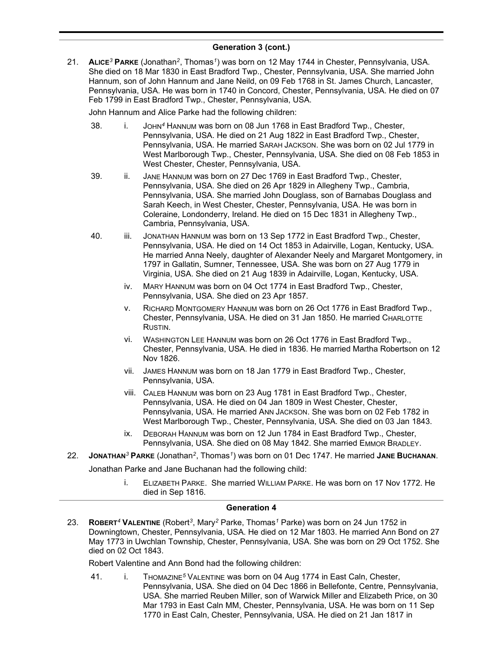21. **ALICE***<sup>3</sup>* **PARKE** (Jonathan*<sup>2</sup>* , Thomas*<sup>1</sup>* ) was born on 12 May 1744 in Chester, Pennsylvania, USA. She died on 18 Mar 1830 in East Bradford Twp., Chester, Pennsylvania, USA. She married John Hannum, son of John Hannum and Jane Neild, on 09 Feb 1768 in St. James Church, Lancaster, Pennsylvania, USA. He was born in 1740 in Concord, Chester, Pennsylvania, USA. He died on 07 Feb 1799 in East Bradford Twp., Chester, Pennsylvania, USA.

John Hannum and Alice Parke had the following children:

- 38. i. JOHN*<sup>4</sup>* HANNUM was born on 08 Jun 1768 in East Bradford Twp., Chester, Pennsylvania, USA. He died on 21 Aug 1822 in East Bradford Twp., Chester, Pennsylvania, USA. He married SARAH JACKSON. She was born on 02 Jul 1779 in West Marlborough Twp., Chester, Pennsylvania, USA. She died on 08 Feb 1853 in West Chester, Chester, Pennsylvania, USA.
- 39. ii. JANE HANNUM was born on 27 Dec 1769 in East Bradford Twp., Chester, Pennsylvania, USA. She died on 26 Apr 1829 in Allegheny Twp., Cambria, Pennsylvania, USA. She married John Douglass, son of Barnabas Douglass and Sarah Keech, in West Chester, Chester, Pennsylvania, USA. He was born in Coleraine, Londonderry, Ireland. He died on 15 Dec 1831 in Allegheny Twp., Cambria, Pennsylvania, USA.
- 40. iii. JONATHAN HANNUM was born on 13 Sep 1772 in East Bradford Twp., Chester, Pennsylvania, USA. He died on 14 Oct 1853 in Adairville, Logan, Kentucky, USA. He married Anna Neely, daughter of Alexander Neely and Margaret Montgomery, in 1797 in Gallatin, Sumner, Tennessee, USA. She was born on 27 Aug 1779 in Virginia, USA. She died on 21 Aug 1839 in Adairville, Logan, Kentucky, USA.
	- iv. MARY HANNUM was born on 04 Oct 1774 in East Bradford Twp., Chester, Pennsylvania, USA. She died on 23 Apr 1857.
	- v. RICHARD MONTGOMERY HANNUM was born on 26 Oct 1776 in East Bradford Twp., Chester, Pennsylvania, USA. He died on 31 Jan 1850. He married CHARLOTTE RUSTIN.
	- vi. WASHINGTON LEE HANNUM was born on 26 Oct 1776 in East Bradford Twp., Chester, Pennsylvania, USA. He died in 1836. He married Martha Robertson on 12 Nov 1826.
	- vii. JAMES HANNUM was born on 18 Jan 1779 in East Bradford Twp., Chester, Pennsylvania, USA.
	- viii. CALEB HANNUM was born on 23 Aug 1781 in East Bradford Twp., Chester, Pennsylvania, USA. He died on 04 Jan 1809 in West Chester, Chester, Pennsylvania, USA. He married ANN JACKSON. She was born on 02 Feb 1782 in West Marlborough Twp., Chester, Pennsylvania, USA. She died on 03 Jan 1843.
	- ix. DEBORAH HANNUM was born on 12 Jun 1784 in East Bradford Twp., Chester, Pennsylvania, USA. She died on 08 May 1842. She married EMMOR BRADLEY.
- 22. **JONATHAN***<sup>3</sup>* **PARKE** (Jonathan*<sup>2</sup>* , Thomas*<sup>1</sup>* ) was born on 01 Dec 1747. He married **JANE BUCHANAN**.

Jonathan Parke and Jane Buchanan had the following child:

i. ELIZABETH PARKE. She married WILLIAM PARKE. He was born on 17 Nov 1772. He died in Sep 1816.

### **Generation 4**

23. **ROBERT***<sup>4</sup>* **VALENTINE** (Robert*<sup>3</sup>* , Mary*<sup>2</sup>* Parke, Thomas*<sup>1</sup>* Parke) was born on 24 Jun 1752 in Downingtown, Chester, Pennsylvania, USA. He died on 12 Mar 1803. He married Ann Bond on 27 May 1773 in Uwchlan Township, Chester, Pennsylvania, USA. She was born on 29 Oct 1752. She died on 02 Oct 1843.

Robert Valentine and Ann Bond had the following children:

41. i. THOMAZINE*<sup>5</sup>* VALENTINE was born on 04 Aug 1774 in East Caln, Chester, Pennsylvania, USA. She died on 04 Dec 1866 in Bellefonte, Centre, Pennsylvania, USA. She married Reuben Miller, son of Warwick Miller and Elizabeth Price, on 30 Mar 1793 in East Caln MM, Chester, Pennsylvania, USA. He was born on 11 Sep 1770 in East Caln, Chester, Pennsylvania, USA. He died on 21 Jan 1817 in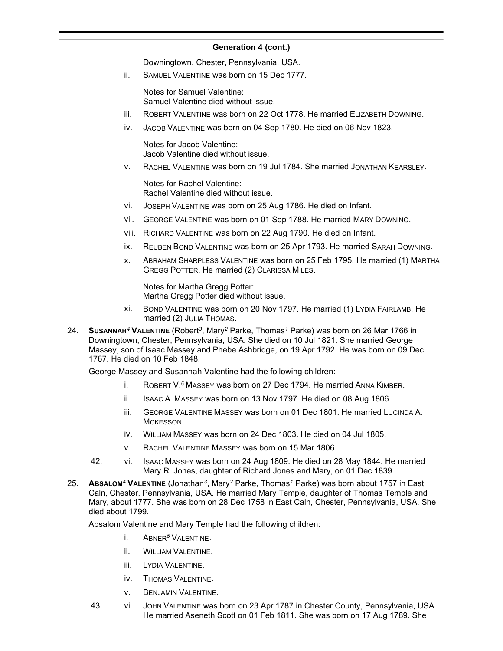Downingtown, Chester, Pennsylvania, USA.

ii. SAMUEL VALENTINE was born on 15 Dec 1777.

Notes for Samuel Valentine: Samuel Valentine died without issue.

- iii. ROBERT VALENTINE was born on 22 Oct 1778. He married ELIZABETH DOWNING.
- iv. JACOB VALENTINE was born on 04 Sep 1780. He died on 06 Nov 1823.

Notes for Jacob Valentine: Jacob Valentine died without issue.

v. RACHEL VALENTINE was born on 19 Jul 1784. She married JONATHAN KEARSLEY.

Notes for Rachel Valentine: Rachel Valentine died without issue.

- vi. JOSEPH VALENTINE was born on 25 Aug 1786. He died on Infant.
- vii. GEORGE VALENTINE was born on 01 Sep 1788. He married MARY DOWNING.
- viii. RICHARD VALENTINE was born on 22 Aug 1790. He died on Infant.
- ix. REUBEN BOND VALENTINE was born on 25 Apr 1793. He married SARAH DOWNING.
- x. ABRAHAM SHARPLESS VALENTINE was born on 25 Feb 1795. He married (1) MARTHA GREGG POTTER. He married (2) CLARISSA MILES.

Notes for Martha Gregg Potter: Martha Gregg Potter died without issue.

- xi. BOND VALENTINE was born on 20 Nov 1797. He married (1) LYDIA FAIRLAMB. He married (2) JULIA THOMAS.
- 24. **SUSANNAH***<sup>4</sup>* **VALENTINE** (Robert*<sup>3</sup>* , Mary*<sup>2</sup>* Parke, Thomas*<sup>1</sup>* Parke) was born on 26 Mar 1766 in Downingtown, Chester, Pennsylvania, USA. She died on 10 Jul 1821. She married George Massey, son of Isaac Massey and Phebe Ashbridge, on 19 Apr 1792. He was born on 09 Dec 1767. He died on 10 Feb 1848.

George Massey and Susannah Valentine had the following children:

- i. ROBERT V. *<sup>5</sup>* MASSEY was born on 27 Dec 1794. He married ANNA KIMBER.
- ii. ISAAC A. MASSEY was born on 13 Nov 1797. He died on 08 Aug 1806.
- iii. GEORGE VALENTINE MASSEY was born on 01 Dec 1801. He married LUCINDA A. MCKESSON.
- iv. WILLIAM MASSEY was born on 24 Dec 1803. He died on 04 Jul 1805.
- v. RACHEL VALENTINE MASSEY was born on 15 Mar 1806.
- 42. vi. ISAAC MASSEY was born on 24 Aug 1809. He died on 28 May 1844. He married Mary R. Jones, daughter of Richard Jones and Mary, on 01 Dec 1839.
- 25. **ABSALOM***<sup>4</sup>* **VALENTINE** (Jonathan*<sup>3</sup>* , Mary*<sup>2</sup>* Parke, Thomas*<sup>1</sup>* Parke) was born about 1757 in East Caln, Chester, Pennsylvania, USA. He married Mary Temple, daughter of Thomas Temple and Mary, about 1777. She was born on 28 Dec 1758 in East Caln, Chester, Pennsylvania, USA. She died about 1799.

Absalom Valentine and Mary Temple had the following children:

- i. ABNER*<sup>5</sup>* VALENTINE.
- ii. WILLIAM VALENTINE.
- iii. LYDIA VALENTINE.
- iv. THOMAS VALENTINE.
- v. BENJAMIN VALENTINE.
- 43. vi. JOHN VALENTINE was born on 23 Apr 1787 in Chester County, Pennsylvania, USA. He married Aseneth Scott on 01 Feb 1811. She was born on 17 Aug 1789. She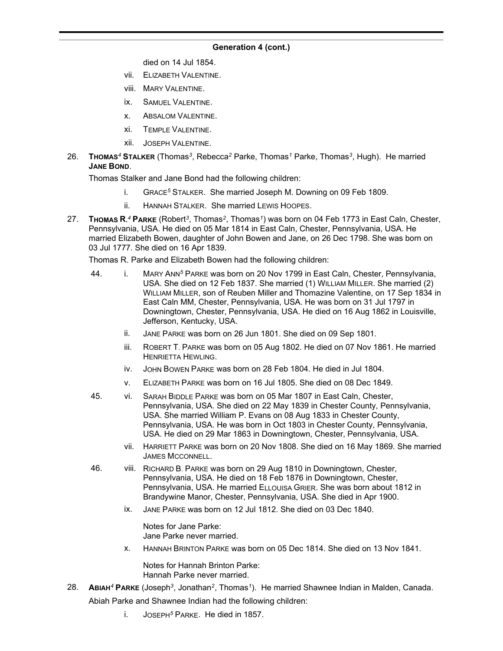died on 14 Jul 1854.

- vii. ELIZABETH VALENTINE.
- viii. MARY VALENTINE.
- ix. SAMUEL VALENTINE.
- x. ABSALOM VALENTINE.
- xi. TEMPLE VALENTINE.
- xii. JOSEPH VALENTINE.
- 26. **THOMAS***<sup>4</sup>* **STALKER** (Thomas*<sup>3</sup>* , Rebecca*<sup>2</sup>* Parke, Thomas*<sup>1</sup>* Parke, Thomas*<sup>3</sup>* , Hugh). He married **JANE BOND**.

Thomas Stalker and Jane Bond had the following children:

- i. GRACE*<sup>5</sup>* STALKER. She married Joseph M. Downing on 09 Feb 1809.
- ii. HANNAH STALKER. She married LEWIS HOOPES.
- 27. **THOMAS R.** *<sup>4</sup>* **PARKE** (Robert*<sup>3</sup>* , Thomas*<sup>2</sup>* , Thomas*<sup>1</sup>* ) was born on 04 Feb 1773 in East Caln, Chester, Pennsylvania, USA. He died on 05 Mar 1814 in East Caln, Chester, Pennsylvania, USA. He married Elizabeth Bowen, daughter of John Bowen and Jane, on 26 Dec 1798. She was born on 03 Jul 1777. She died on 16 Apr 1839.

Thomas R. Parke and Elizabeth Bowen had the following children:

- 44. i. MARY ANN*<sup>5</sup>* PARKE was born on 20 Nov 1799 in East Caln, Chester, Pennsylvania, USA. She died on 12 Feb 1837. She married (1) WILLIAM MILLER. She married (2) WILLIAM MILLER, son of Reuben Miller and Thomazine Valentine, on 17 Sep 1834 in East Caln MM, Chester, Pennsylvania, USA. He was born on 31 Jul 1797 in Downingtown, Chester, Pennsylvania, USA. He died on 16 Aug 1862 in Louisville, Jefferson, Kentucky, USA.
	- ii. JANE PARKE was born on 26 Jun 1801. She died on 09 Sep 1801.
	- iii. ROBERT T. PARKE was born on 05 Aug 1802. He died on 07 Nov 1861. He married HENRIETTA HEWI ING.
	- iv. JOHN BOWEN PARKE was born on 28 Feb 1804. He died in Jul 1804.
	- v. ELIZABETH PARKE was born on 16 Jul 1805. She died on 08 Dec 1849.
- 45. vi. SARAH BIDDLE PARKE was born on 05 Mar 1807 in East Caln, Chester, Pennsylvania, USA. She died on 22 May 1839 in Chester County, Pennsylvania, USA. She married William P. Evans on 08 Aug 1833 in Chester County, Pennsylvania, USA. He was born in Oct 1803 in Chester County, Pennsylvania, USA. He died on 29 Mar 1863 in Downingtown, Chester, Pennsylvania, USA.
	- vii. HARRIETT PARKE was born on 20 Nov 1808. She died on 16 May 1869. She married JAMES MCCONNELL.
- 46. viii. RICHARD B. PARKE was born on 29 Aug 1810 in Downingtown, Chester, Pennsylvania, USA. He died on 18 Feb 1876 in Downingtown, Chester, Pennsylvania, USA. He married ELLOUISA GRIER. She was born about 1812 in Brandywine Manor, Chester, Pennsylvania, USA. She died in Apr 1900.
	- ix. JANE PARKE was born on 12 Jul 1812. She died on 03 Dec 1840.

Notes for Jane Parke: Jane Parke never married.

x. HANNAH BRINTON PARKE was born on 05 Dec 1814. She died on 13 Nov 1841.

Notes for Hannah Brinton Parke: Hannah Parke never married.

- 28. **ABIAH***<sup>4</sup>* **PARKE** (Joseph*<sup>3</sup>* , Jonathan*<sup>2</sup>* , Thomas*<sup>1</sup>* ). He married Shawnee Indian in Malden, Canada. Abiah Parke and Shawnee Indian had the following children:
	- i. JOSEPH*<sup>5</sup>* PARKE. He died in 1857.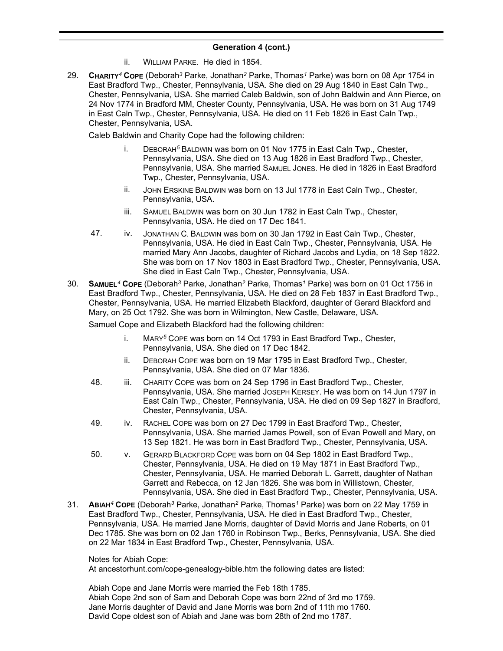- ii. WILLIAM PARKE. He died in 1854.
- 29. **CHARITY***<sup>4</sup>* **COPE** (Deborah*<sup>3</sup>* Parke, Jonathan*<sup>2</sup>* Parke, Thomas*<sup>1</sup>* Parke) was born on 08 Apr 1754 in East Bradford Twp., Chester, Pennsylvania, USA. She died on 29 Aug 1840 in East Caln Twp., Chester, Pennsylvania, USA. She married Caleb Baldwin, son of John Baldwin and Ann Pierce, on 24 Nov 1774 in Bradford MM, Chester County, Pennsylvania, USA. He was born on 31 Aug 1749 in East Caln Twp., Chester, Pennsylvania, USA. He died on 11 Feb 1826 in East Caln Twp., Chester, Pennsylvania, USA.

Caleb Baldwin and Charity Cope had the following children:

- i. DEBORAH*<sup>5</sup>* BALDWIN was born on 01 Nov 1775 in East Caln Twp., Chester, Pennsylvania, USA. She died on 13 Aug 1826 in East Bradford Twp., Chester, Pennsylvania, USA. She married SAMUEL JONES. He died in 1826 in East Bradford Twp., Chester, Pennsylvania, USA.
- ii. JOHN ERSKINE BALDWIN was born on 13 Jul 1778 in East Caln Twp., Chester, Pennsylvania, USA.
- iii. SAMUEL BALDWIN was born on 30 Jun 1782 in East Caln Twp., Chester, Pennsylvania, USA. He died on 17 Dec 1841.
- 47. iv. JONATHAN C. BALDWIN was born on 30 Jan 1792 in East Caln Twp., Chester, Pennsylvania, USA. He died in East Caln Twp., Chester, Pennsylvania, USA. He married Mary Ann Jacobs, daughter of Richard Jacobs and Lydia, on 18 Sep 1822. She was born on 17 Nov 1803 in East Bradford Twp., Chester, Pennsylvania, USA. She died in East Caln Twp., Chester, Pennsylvania, USA.
- 30. **SAMUEL***<sup>4</sup>* **COPE** (Deborah*<sup>3</sup>* Parke, Jonathan*<sup>2</sup>* Parke, Thomas*<sup>1</sup>* Parke) was born on 01 Oct 1756 in East Bradford Twp., Chester, Pennsylvania, USA. He died on 28 Feb 1837 in East Bradford Twp., Chester, Pennsylvania, USA. He married Elizabeth Blackford, daughter of Gerard Blackford and Mary, on 25 Oct 1792. She was born in Wilmington, New Castle, Delaware, USA.

Samuel Cope and Elizabeth Blackford had the following children:

- i. MARY*<sup>5</sup>* COPE was born on 14 Oct 1793 in East Bradford Twp., Chester, Pennsylvania, USA. She died on 17 Dec 1842.
- ii. DEBORAH COPE was born on 19 Mar 1795 in East Bradford Twp., Chester, Pennsylvania, USA. She died on 07 Mar 1836.
- 48. iii. CHARITY COPE was born on 24 Sep 1796 in East Bradford Twp., Chester, Pennsylvania, USA. She married JOSEPH KERSEY. He was born on 14 Jun 1797 in East Caln Twp., Chester, Pennsylvania, USA. He died on 09 Sep 1827 in Bradford, Chester, Pennsylvania, USA.
- 49. iv. RACHEL COPE was born on 27 Dec 1799 in East Bradford Twp., Chester, Pennsylvania, USA. She married James Powell, son of Evan Powell and Mary, on 13 Sep 1821. He was born in East Bradford Twp., Chester, Pennsylvania, USA.
- 50. v. GERARD BLACKFORD COPE was born on 04 Sep 1802 in East Bradford Twp., Chester, Pennsylvania, USA. He died on 19 May 1871 in East Bradford Twp., Chester, Pennsylvania, USA. He married Deborah L. Garrett, daughter of Nathan Garrett and Rebecca, on 12 Jan 1826. She was born in Willistown, Chester, Pennsylvania, USA. She died in East Bradford Twp., Chester, Pennsylvania, USA.
- 31. **ABIAH***<sup>4</sup>* **COPE** (Deborah*<sup>3</sup>* Parke, Jonathan*<sup>2</sup>* Parke, Thomas*<sup>1</sup>* Parke) was born on 22 May 1759 in East Bradford Twp., Chester, Pennsylvania, USA. He died in East Bradford Twp., Chester, Pennsylvania, USA. He married Jane Morris, daughter of David Morris and Jane Roberts, on 01 Dec 1785. She was born on 02 Jan 1760 in Robinson Twp., Berks, Pennsylvania, USA. She died on 22 Mar 1834 in East Bradford Twp., Chester, Pennsylvania, USA.

### Notes for Abiah Cope:

At ancestorhunt.com/cope-genealogy-bible.htm the following dates are listed:

Abiah Cope and Jane Morris were married the Feb 18th 1785. Abiah Cope 2nd son of Sam and Deborah Cope was born 22nd of 3rd mo 1759. Jane Morris daughter of David and Jane Morris was born 2nd of 11th mo 1760. David Cope oldest son of Abiah and Jane was born 28th of 2nd mo 1787.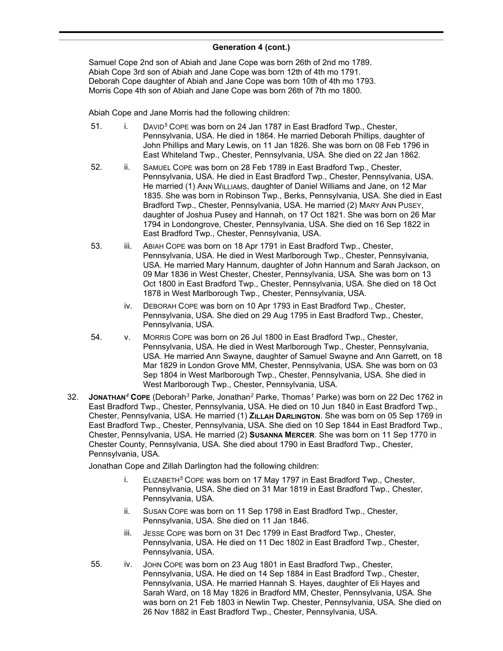Samuel Cope 2nd son of Abiah and Jane Cope was born 26th of 2nd mo 1789. Abiah Cope 3rd son of Abiah and Jane Cope was born 12th of 4th mo 1791. Deborah Cope daughter of Abiah and Jane Cope was born 10th of 4th mo 1793. Morris Cope 4th son of Abiah and Jane Cope was born 26th of 7th mo 1800.

Abiah Cope and Jane Morris had the following children:

- 51. i. DAVID<sup>5</sup> COPE was born on 24 Jan 1787 in East Bradford Twp., Chester, Pennsylvania, USA. He died in 1864. He married Deborah Phillips, daughter of John Phillips and Mary Lewis, on 11 Jan 1826. She was born on 08 Feb 1796 in East Whiteland Twp., Chester, Pennsylvania, USA. She died on 22 Jan 1862.
- 52. ii. SAMUEL COPE was born on 28 Feb 1789 in East Bradford Twp., Chester, Pennsylvania, USA. He died in East Bradford Twp., Chester, Pennsylvania, USA. He married (1) ANN WILLIAMS, daughter of Daniel Williams and Jane, on 12 Mar 1835. She was born in Robinson Twp., Berks, Pennsylvania, USA. She died in East Bradford Twp., Chester, Pennsylvania, USA. He married (2) MARY ANN PUSEY, daughter of Joshua Pusey and Hannah, on 17 Oct 1821. She was born on 26 Mar 1794 in Londongrove, Chester, Pennsylvania, USA. She died on 16 Sep 1822 in East Bradford Twp., Chester, Pennsylvania, USA.
- 53. iii. ABIAH COPE was born on 18 Apr 1791 in East Bradford Twp., Chester, Pennsylvania, USA. He died in West Marlborough Twp., Chester, Pennsylvania, USA. He married Mary Hannum, daughter of John Hannum and Sarah Jackson, on 09 Mar 1836 in West Chester, Chester, Pennsylvania, USA. She was born on 13 Oct 1800 in East Bradford Twp., Chester, Pennsylvania, USA. She died on 18 Oct 1878 in West Marlborough Twp., Chester, Pennsylvania, USA.
	- iv. DEBORAH COPE was born on 10 Apr 1793 in East Bradford Twp., Chester, Pennsylvania, USA. She died on 29 Aug 1795 in East Bradford Twp., Chester, Pennsylvania, USA.
- 54. v. MORRIS COPE was born on 26 Jul 1800 in East Bradford Twp., Chester, Pennsylvania, USA. He died in West Marlborough Twp., Chester, Pennsylvania, USA. He married Ann Swayne, daughter of Samuel Swayne and Ann Garrett, on 18 Mar 1829 in London Grove MM, Chester, Pennsylvania, USA. She was born on 03 Sep 1804 in West Marlborough Twp., Chester, Pennsylvania, USA. She died in West Marlborough Twp., Chester, Pennsylvania, USA.
- 32. **JONATHAN***<sup>4</sup>* **COPE** (Deborah*<sup>3</sup>* Parke, Jonathan*<sup>2</sup>* Parke, Thomas*<sup>1</sup>* Parke) was born on 22 Dec 1762 in East Bradford Twp., Chester, Pennsylvania, USA. He died on 10 Jun 1840 in East Bradford Twp., Chester, Pennsylvania, USA. He married (1) **ZILLAH DARLINGTON**. She was born on 05 Sep 1769 in East Bradford Twp., Chester, Pennsylvania, USA. She died on 10 Sep 1844 in East Bradford Twp., Chester, Pennsylvania, USA. He married (2) **SUSANNA MERCER**. She was born on 11 Sep 1770 in Chester County, Pennsylvania, USA. She died about 1790 in East Bradford Twp., Chester, Pennsylvania, USA.

Jonathan Cope and Zillah Darlington had the following children:

- i. ELIZABETH*<sup>5</sup>* COPE was born on 17 May 1797 in East Bradford Twp., Chester, Pennsylvania, USA. She died on 31 Mar 1819 in East Bradford Twp., Chester, Pennsylvania, USA.
- ii. SUSAN COPE was born on 11 Sep 1798 in East Bradford Twp., Chester, Pennsylvania, USA. She died on 11 Jan 1846.
- iii. JESSE COPE was born on 31 Dec 1799 in East Bradford Twp., Chester, Pennsylvania, USA. He died on 11 Dec 1802 in East Bradford Twp., Chester, Pennsylvania, USA.
- 55. iv. JOHN COPE was born on 23 Aug 1801 in East Bradford Twp., Chester, Pennsylvania, USA. He died on 14 Sep 1884 in East Bradford Twp., Chester, Pennsylvania, USA. He married Hannah S. Hayes, daughter of Eli Hayes and Sarah Ward, on 18 May 1826 in Bradford MM, Chester, Pennsylvania, USA. She was born on 21 Feb 1803 in Newlin Twp. Chester, Pennsylvania, USA. She died on 26 Nov 1882 in East Bradford Twp., Chester, Pennsylvania, USA.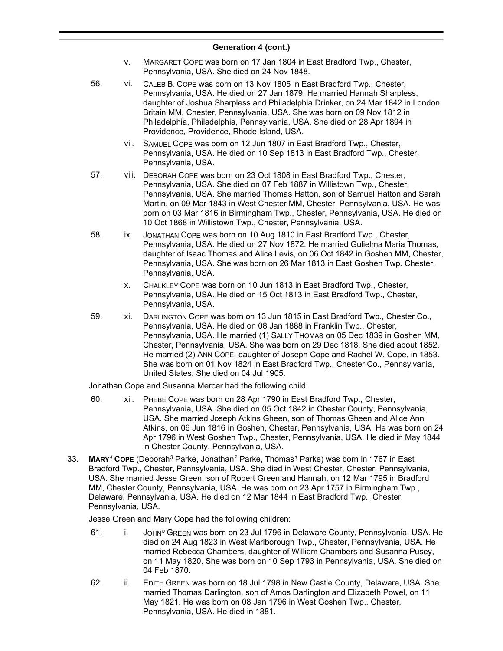- v. MARGARET COPE was born on 17 Jan 1804 in East Bradford Twp., Chester, Pennsylvania, USA. She died on 24 Nov 1848.
- 56. vi. CALEB B. COPE was born on 13 Nov 1805 in East Bradford Twp., Chester, Pennsylvania, USA. He died on 27 Jan 1879. He married Hannah Sharpless, daughter of Joshua Sharpless and Philadelphia Drinker, on 24 Mar 1842 in London Britain MM, Chester, Pennsylvania, USA. She was born on 09 Nov 1812 in Philadelphia, Philadelphia, Pennsylvania, USA. She died on 28 Apr 1894 in Providence, Providence, Rhode Island, USA.
	- vii. SAMUEL COPE was born on 12 Jun 1807 in East Bradford Twp., Chester, Pennsylvania, USA. He died on 10 Sep 1813 in East Bradford Twp., Chester, Pennsylvania, USA.
- 57. viii. DEBORAH COPE was born on 23 Oct 1808 in East Bradford Twp., Chester, Pennsylvania, USA. She died on 07 Feb 1887 in Willistown Twp., Chester, Pennsylvania, USA. She married Thomas Hatton, son of Samuel Hatton and Sarah Martin, on 09 Mar 1843 in West Chester MM, Chester, Pennsylvania, USA. He was born on 03 Mar 1816 in Birmingham Twp., Chester, Pennsylvania, USA. He died on 10 Oct 1868 in Willistown Twp., Chester, Pennsylvania, USA.
- 58. ix. JONATHAN COPE was born on 10 Aug 1810 in East Bradford Twp., Chester, Pennsylvania, USA. He died on 27 Nov 1872. He married Gulielma Maria Thomas, daughter of Isaac Thomas and Alice Levis, on 06 Oct 1842 in Goshen MM, Chester, Pennsylvania, USA. She was born on 26 Mar 1813 in East Goshen Twp. Chester, Pennsylvania, USA.
	- x. CHALKLEY COPE was born on 10 Jun 1813 in East Bradford Twp., Chester, Pennsylvania, USA. He died on 15 Oct 1813 in East Bradford Twp., Chester, Pennsylvania, USA.
- 59. xi. DARLINGTON COPE was born on 13 Jun 1815 in East Bradford Twp., Chester Co., Pennsylvania, USA. He died on 08 Jan 1888 in Franklin Twp., Chester, Pennsylvania, USA. He married (1) SALLY THOMAS on 05 Dec 1839 in Goshen MM, Chester, Pennsylvania, USA. She was born on 29 Dec 1818. She died about 1852. He married (2) ANN COPE, daughter of Joseph Cope and Rachel W. Cope, in 1853. She was born on 01 Nov 1824 in East Bradford Twp., Chester Co., Pennsylvania, United States. She died on 04 Jul 1905.

Jonathan Cope and Susanna Mercer had the following child:

- 60. xii. PHEBE COPE was born on 28 Apr 1790 in East Bradford Twp., Chester, Pennsylvania, USA. She died on 05 Oct 1842 in Chester County, Pennsylvania, USA. She married Joseph Atkins Gheen, son of Thomas Gheen and Alice Ann Atkins, on 06 Jun 1816 in Goshen, Chester, Pennsylvania, USA. He was born on 24 Apr 1796 in West Goshen Twp., Chester, Pennsylvania, USA. He died in May 1844 in Chester County, Pennsylvania, USA.
- 33. **MARY***<sup>4</sup>* **COPE** (Deborah*<sup>3</sup>* Parke, Jonathan*<sup>2</sup>* Parke, Thomas*<sup>1</sup>* Parke) was born in 1767 in East Bradford Twp., Chester, Pennsylvania, USA. She died in West Chester, Chester, Pennsylvania, USA. She married Jesse Green, son of Robert Green and Hannah, on 12 Mar 1795 in Bradford MM, Chester County, Pennsylvania, USA. He was born on 23 Apr 1757 in Birmingham Twp., Delaware, Pennsylvania, USA. He died on 12 Mar 1844 in East Bradford Twp., Chester, Pennsylvania, USA.

Jesse Green and Mary Cope had the following children:

- 61. i. JOHN*<sup>5</sup>* GREEN was born on 23 Jul 1796 in Delaware County, Pennsylvania, USA. He died on 24 Aug 1823 in West Marlborough Twp., Chester, Pennsylvania, USA. He married Rebecca Chambers, daughter of William Chambers and Susanna Pusey, on 11 May 1820. She was born on 10 Sep 1793 in Pennsylvania, USA. She died on 04 Feb 1870.
- 62. ii. EDITH GREEN was born on 18 Jul 1798 in New Castle County, Delaware, USA. She married Thomas Darlington, son of Amos Darlington and Elizabeth Powel, on 11 May 1821. He was born on 08 Jan 1796 in West Goshen Twp., Chester, Pennsylvania, USA. He died in 1881.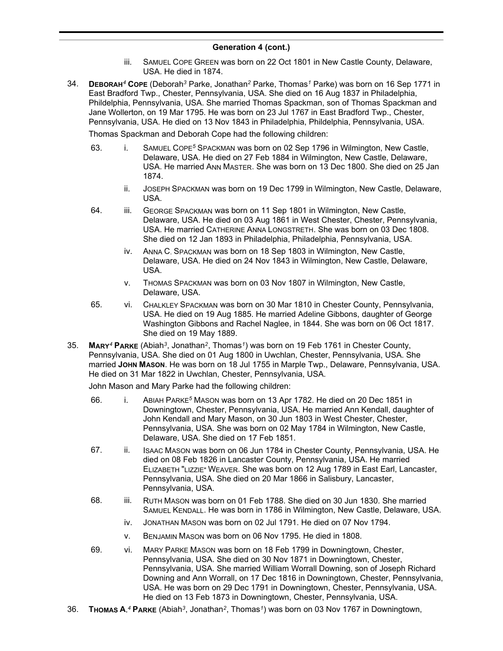- iii. SAMUEL COPE GREEN was born on 22 Oct 1801 in New Castle County, Delaware, USA. He died in 1874.
- 34. **DEBORAH***<sup>4</sup>* **COPE** (Deborah*<sup>3</sup>* Parke, Jonathan*<sup>2</sup>* Parke, Thomas*<sup>1</sup>* Parke) was born on 16 Sep 1771 in East Bradford Twp., Chester, Pennsylvania, USA. She died on 16 Aug 1837 in Philadelphia, Phildelphia, Pennsylvania, USA. She married Thomas Spackman, son of Thomas Spackman and Jane Wollerton, on 19 Mar 1795. He was born on 23 Jul 1767 in East Bradford Twp., Chester, Pennsylvania, USA. He died on 13 Nov 1843 in Philadelphia, Phildelphia, Pennsylvania, USA.

Thomas Spackman and Deborah Cope had the following children:

- 63. i. SAMUEL COPE*<sup>5</sup>* SPACKMAN was born on 02 Sep 1796 in Wilmington, New Castle, Delaware, USA. He died on 27 Feb 1884 in Wilmington, New Castle, Delaware, USA. He married ANN MASTER. She was born on 13 Dec 1800. She died on 25 Jan 1874.
	- ii. JOSEPH SPACKMAN was born on 19 Dec 1799 in Wilmington, New Castle, Delaware, USA.
- 64. iii. GEORGE SPACKMAN was born on 11 Sep 1801 in Wilmington, New Castle, Delaware, USA. He died on 03 Aug 1861 in West Chester, Chester, Pennsylvania, USA. He married CATHERINE ANNA LONGSTRETH. She was born on 03 Dec 1808. She died on 12 Jan 1893 in Philadelphia, Philadelphia, Pennsylvania, USA.
	- iv. ANNA C. SPACKMAN was born on 18 Sep 1803 in Wilmington, New Castle, Delaware, USA. He died on 24 Nov 1843 in Wilmington, New Castle, Delaware, USA.
	- v. THOMAS SPACKMAN was born on 03 Nov 1807 in Wilmington, New Castle, Delaware, USA.
- 65. vi. CHALKLEY SPACKMAN was born on 30 Mar 1810 in Chester County, Pennsylvania, USA. He died on 19 Aug 1885. He married Adeline Gibbons, daughter of George Washington Gibbons and Rachel Naglee, in 1844. She was born on 06 Oct 1817. She died on 19 May 1889.
- 35. **MARY***<sup>4</sup>* **PARKE** (Abiah*<sup>3</sup>* , Jonathan*<sup>2</sup>* , Thomas*<sup>1</sup>* ) was born on 19 Feb 1761 in Chester County, Pennsylvania, USA. She died on 01 Aug 1800 in Uwchlan, Chester, Pennsylvania, USA. She married **JOHN MASON**. He was born on 18 Jul 1755 in Marple Twp., Delaware, Pennsylvania, USA. He died on 31 Mar 1822 in Uwchlan, Chester, Pennsylvania, USA.

John Mason and Mary Parke had the following children:

- 66. i. ABIAH PARKE*<sup>5</sup>* MASON was born on 13 Apr 1782. He died on 20 Dec 1851 in Downingtown, Chester, Pennsylvania, USA. He married Ann Kendall, daughter of John Kendall and Mary Mason, on 30 Jun 1803 in West Chester, Chester, Pennsylvania, USA. She was born on 02 May 1784 in Wilmington, New Castle, Delaware, USA. She died on 17 Feb 1851.
- 67. ii. ISAAC MASON was born on 06 Jun 1784 in Chester County, Pennsylvania, USA. He died on 08 Feb 1826 in Lancaster County, Pennsylvania, USA. He married ELIZABETH "LIZZIE" WEAVER. She was born on 12 Aug 1789 in East Earl, Lancaster, Pennsylvania, USA. She died on 20 Mar 1866 in Salisbury, Lancaster, Pennsylvania, USA.
- 68. iii. RUTH MASON was born on 01 Feb 1788. She died on 30 Jun 1830. She married SAMUEL KENDALL. He was born in 1786 in Wilmington, New Castle, Delaware, USA.
	- iv. JONATHAN MASON was born on 02 Jul 1791. He died on 07 Nov 1794.
	- v. BENJAMIN MASON was born on 06 Nov 1795. He died in 1808.
- 69. vi. MARY PARKE MASON was born on 18 Feb 1799 in Downingtown, Chester, Pennsylvania, USA. She died on 30 Nov 1871 in Downingtown, Chester, Pennsylvania, USA. She married William Worrall Downing, son of Joseph Richard Downing and Ann Worrall, on 17 Dec 1816 in Downingtown, Chester, Pennsylvania, USA. He was born on 29 Dec 1791 in Downingtown, Chester, Pennsylvania, USA. He died on 13 Feb 1873 in Downingtown, Chester, Pennsylvania, USA.
- 36. **THOMAS A.** *<sup>4</sup>* **PARKE** (Abiah*<sup>3</sup>* , Jonathan*<sup>2</sup>* , Thomas*<sup>1</sup>* ) was born on 03 Nov 1767 in Downingtown,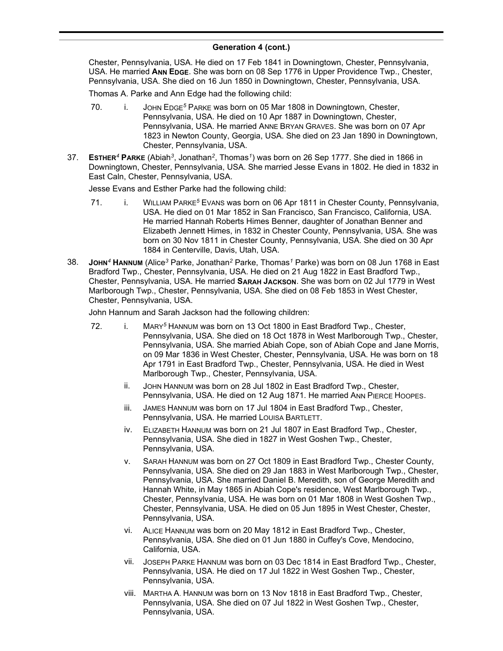#### **Generation 4 (cont.)** , Jonathan*<sup>2</sup>*  $\overline{)}$

Chester, Pennsylvania, USA. He died on 17 Feb 1841 in Downingtown, Chester, Pennsylvania, USA. He married **ANN EDGE**. She was born on 08 Sep 1776 in Upper Providence Twp., Chester, Pennsylvania, USA. She died on 16 Jun 1850 in Downingtown, Chester, Pennsylvania, USA.

Thomas A. Parke and Ann Edge had the following child:

- 70. i. JOHN EDGE*<sup>5</sup>* PARKE was born on 05 Mar 1808 in Downingtown, Chester, Pennsylvania, USA. He died on 10 Apr 1887 in Downingtown, Chester, Pennsylvania, USA. He married ANNE BRYAN GRAVES. She was born on 07 Apr 1823 in Newton County, Georgia, USA. She died on 23 Jan 1890 in Downingtown, Chester, Pennsylvania, USA.
- 37. **ESTHER***<sup>4</sup>* **PARKE** (Abiah*<sup>3</sup>* , Jonathan*<sup>2</sup>* , Thomas*<sup>1</sup>* ) was born on 26 Sep 1777. She died in 1866 in Downingtown, Chester, Pennsylvania, USA. She married Jesse Evans in 1802. He died in 1832 in East Caln, Chester, Pennsylvania, USA.

Jesse Evans and Esther Parke had the following child:

- 71. i. WILLIAM PARKE<sup>5</sup> Evans was born on 06 Apr 1811 in Chester County, Pennsylvania, USA. He died on 01 Mar 1852 in San Francisco, San Francisco, California, USA. He married Hannah Roberts Himes Benner, daughter of Jonathan Benner and Elizabeth Jennett Himes, in 1832 in Chester County, Pennsylvania, USA. She was born on 30 Nov 1811 in Chester County, Pennsylvania, USA. She died on 30 Apr 1884 in Centerville, Davis, Utah, USA.
- 38. **JOHN***<sup>4</sup>* **HANNUM** (Alice*<sup>3</sup>* Parke, Jonathan*<sup>2</sup>* Parke, Thomas*<sup>1</sup>* Parke) was born on 08 Jun 1768 in East Bradford Twp., Chester, Pennsylvania, USA. He died on 21 Aug 1822 in East Bradford Twp., Chester, Pennsylvania, USA. He married **SARAH JACKSON**. She was born on 02 Jul 1779 in West Marlborough Twp., Chester, Pennsylvania, USA. She died on 08 Feb 1853 in West Chester, Chester, Pennsylvania, USA.

John Hannum and Sarah Jackson had the following children:

- 72. i. MARY*<sup>5</sup>* HANNUM was born on 13 Oct 1800 in East Bradford Twp., Chester, Pennsylvania, USA. She died on 18 Oct 1878 in West Marlborough Twp., Chester, Pennsylvania, USA. She married Abiah Cope, son of Abiah Cope and Jane Morris, on 09 Mar 1836 in West Chester, Chester, Pennsylvania, USA. He was born on 18 Apr 1791 in East Bradford Twp., Chester, Pennsylvania, USA. He died in West Marlborough Twp., Chester, Pennsylvania, USA.
	- ii. JOHN HANNUM was born on 28 Jul 1802 in East Bradford Twp., Chester, Pennsylvania, USA. He died on 12 Aug 1871. He married ANN PIERCE HOOPES.
	- iii. JAMES HANNUM was born on 17 Jul 1804 in East Bradford Twp., Chester, Pennsylvania, USA. He married LOUISA BARTLETT.
	- iv. ELIZABETH HANNUM was born on 21 Jul 1807 in East Bradford Twp., Chester, Pennsylvania, USA. She died in 1827 in West Goshen Twp., Chester, Pennsylvania, USA.
	- v. SARAH HANNUM was born on 27 Oct 1809 in East Bradford Twp., Chester County, Pennsylvania, USA. She died on 29 Jan 1883 in West Marlborough Twp., Chester, Pennsylvania, USA. She married Daniel B. Meredith, son of George Meredith and Hannah White, in May 1865 in Abiah Cope's residence, West Marlborough Twp., Chester, Pennsylvania, USA. He was born on 01 Mar 1808 in West Goshen Twp., Chester, Pennsylvania, USA. He died on 05 Jun 1895 in West Chester, Chester, Pennsylvania, USA.
	- vi. ALICE HANNUM was born on 20 May 1812 in East Bradford Twp., Chester, Pennsylvania, USA. She died on 01 Jun 1880 in Cuffey's Cove, Mendocino, California, USA.
	- vii. JOSEPH PARKE HANNUM was born on 03 Dec 1814 in East Bradford Twp., Chester, Pennsylvania, USA. He died on 17 Jul 1822 in West Goshen Twp., Chester, Pennsylvania, USA.
	- viii. MARTHA A. HANNUM was born on 13 Nov 1818 in East Bradford Twp., Chester, Pennsylvania, USA. She died on 07 Jul 1822 in West Goshen Twp., Chester, Pennsylvania, USA.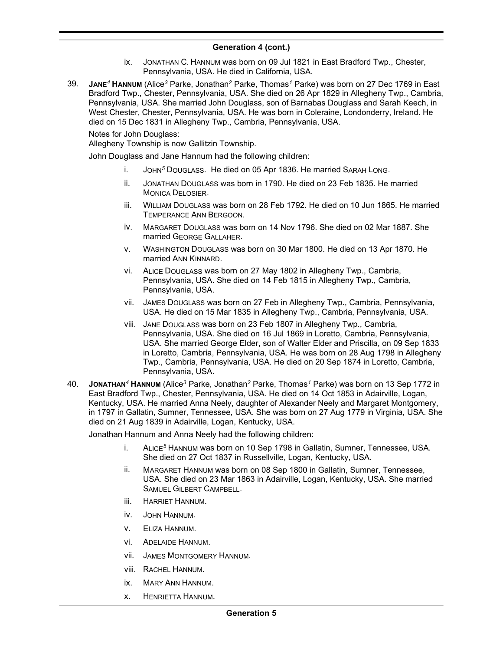- ix. JONATHAN C. HANNUM was born on 09 Jul 1821 in East Bradford Twp., Chester, Pennsylvania, USA. He died in California, USA.
- 39. **JANE***<sup>4</sup>* **HANNUM** (Alice*<sup>3</sup>* Parke, Jonathan*<sup>2</sup>* Parke, Thomas*<sup>1</sup>* Parke) was born on 27 Dec 1769 in East Bradford Twp., Chester, Pennsylvania, USA. She died on 26 Apr 1829 in Allegheny Twp., Cambria, Pennsylvania, USA. She married John Douglass, son of Barnabas Douglass and Sarah Keech, in West Chester, Chester, Pennsylvania, USA. He was born in Coleraine, Londonderry, Ireland. He died on 15 Dec 1831 in Allegheny Twp., Cambria, Pennsylvania, USA.

Notes for John Douglass:

Allegheny Township is now Gallitzin Township.

John Douglass and Jane Hannum had the following children:

- i. JOHN*<sup>5</sup>* DOUGLASS. He died on 05 Apr 1836. He married SARAH LONG.
- ii. JONATHAN DOUGLASS was born in 1790. He died on 23 Feb 1835. He married MONICA DELOSIER.
- iii. WILLIAM DOUGLASS was born on 28 Feb 1792. He died on 10 Jun 1865. He married TEMPERANCE ANN BERGOON.
- iv. MARGARET DOUGLASS was born on 14 Nov 1796. She died on 02 Mar 1887. She married GEORGE GALLAHER.
- v. WASHINGTON DOUGLASS was born on 30 Mar 1800. He died on 13 Apr 1870. He married ANN KINNARD.
- vi. ALICE DOUGLASS was born on 27 May 1802 in Allegheny Twp., Cambria, Pennsylvania, USA. She died on 14 Feb 1815 in Allegheny Twp., Cambria, Pennsylvania, USA.
- vii. JAMES DOUGLASS was born on 27 Feb in Allegheny Twp., Cambria, Pennsylvania, USA. He died on 15 Mar 1835 in Allegheny Twp., Cambria, Pennsylvania, USA.
- viii. JANE DOUGLASS was born on 23 Feb 1807 in Allegheny Twp., Cambria, Pennsylvania, USA. She died on 16 Jul 1869 in Loretto, Cambria, Pennsylvania, USA. She married George Elder, son of Walter Elder and Priscilla, on 09 Sep 1833 in Loretto, Cambria, Pennsylvania, USA. He was born on 28 Aug 1798 in Allegheny Twp., Cambria, Pennsylvania, USA. He died on 20 Sep 1874 in Loretto, Cambria, Pennsylvania, USA.
- 40. **JONATHAN***<sup>4</sup>* **HANNUM** (Alice*<sup>3</sup>* Parke, Jonathan*<sup>2</sup>* Parke, Thomas*<sup>1</sup>* Parke) was born on 13 Sep 1772 in East Bradford Twp., Chester, Pennsylvania, USA. He died on 14 Oct 1853 in Adairville, Logan, Kentucky, USA. He married Anna Neely, daughter of Alexander Neely and Margaret Montgomery, in 1797 in Gallatin, Sumner, Tennessee, USA. She was born on 27 Aug 1779 in Virginia, USA. She died on 21 Aug 1839 in Adairville, Logan, Kentucky, USA.

Jonathan Hannum and Anna Neely had the following children:

- i. ALICE*<sup>5</sup>* HANNUM was born on 10 Sep 1798 in Gallatin, Sumner, Tennessee, USA. She died on 27 Oct 1837 in Russellville, Logan, Kentucky, USA.
- ii. MARGARET HANNUM was born on 08 Sep 1800 in Gallatin, Sumner, Tennessee, USA. She died on 23 Mar 1863 in Adairville, Logan, Kentucky, USA. She married SAMUEL GILBERT CAMPBELL.
- iii. HARRIET HANNUM.
- iv. JOHN HANNUM.
- v. ELIZA HANNUM.
- vi. ADELAIDE HANNUM.
- vii. JAMES MONTGOMERY HANNUM.
- viii. RACHEL HANNUM.
- ix. MARY ANN HANNUM.
- x. HENRIETTA HANNUM.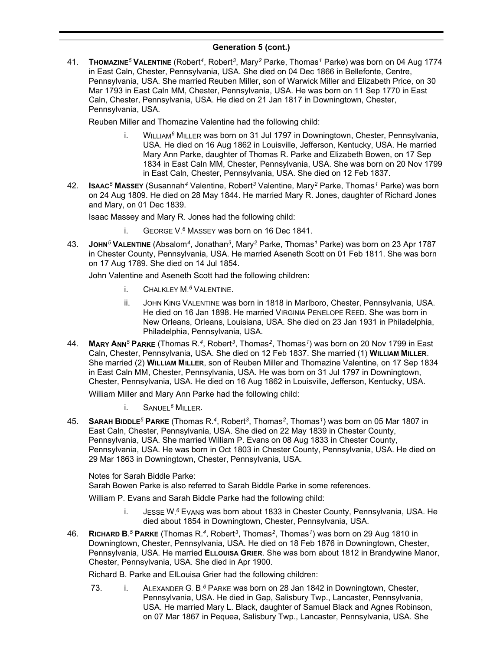41. **THOMAZINE***<sup>5</sup>* **VALENTINE** (Robert*<sup>4</sup>* , Robert*<sup>3</sup>* , Mary*<sup>2</sup>* Parke, Thomas*<sup>1</sup>* Parke) was born on 04 Aug 1774 in East Caln, Chester, Pennsylvania, USA. She died on 04 Dec 1866 in Bellefonte, Centre, Pennsylvania, USA. She married Reuben Miller, son of Warwick Miller and Elizabeth Price, on 30 Mar 1793 in East Caln MM, Chester, Pennsylvania, USA. He was born on 11 Sep 1770 in East Caln, Chester, Pennsylvania, USA. He died on 21 Jan 1817 in Downingtown, Chester, Pennsylvania, USA.

Reuben Miller and Thomazine Valentine had the following child:

- i. WILLIAM*<sup>6</sup>* MILLER was born on 31 Jul 1797 in Downingtown, Chester, Pennsylvania, USA. He died on 16 Aug 1862 in Louisville, Jefferson, Kentucky, USA. He married Mary Ann Parke, daughter of Thomas R. Parke and Elizabeth Bowen, on 17 Sep 1834 in East Caln MM, Chester, Pennsylvania, USA. She was born on 20 Nov 1799 in East Caln, Chester, Pennsylvania, USA. She died on 12 Feb 1837.
- 42. **ISAAC***<sup>5</sup>* **MASSEY** (Susannah*<sup>4</sup>* Valentine, Robert*<sup>3</sup>* Valentine, Mary*<sup>2</sup>* Parke, Thomas*<sup>1</sup>* Parke) was born on 24 Aug 1809. He died on 28 May 1844. He married Mary R. Jones, daughter of Richard Jones and Mary, on 01 Dec 1839.

Isaac Massey and Mary R. Jones had the following child:

- i. GEORGE V. *<sup>6</sup>* MASSEY was born on 16 Dec 1841.
- 43. **JOHN***<sup>5</sup>* **VALENTINE** (Absalom*<sup>4</sup>* , Jonathan*<sup>3</sup>* , Mary*<sup>2</sup>* Parke, Thomas*<sup>1</sup>* Parke) was born on 23 Apr 1787 in Chester County, Pennsylvania, USA. He married Aseneth Scott on 01 Feb 1811. She was born on 17 Aug 1789. She died on 14 Jul 1854.

John Valentine and Aseneth Scott had the following children:

- i. CHALKLEY M. *<sup>6</sup>* VALENTINE.
- ii. JOHN KING VALENTINE was born in 1818 in Marlboro, Chester, Pennsylvania, USA. He died on 16 Jan 1898. He married VIRGINIA PENELOPE REED. She was born in New Orleans, Orleans, Louisiana, USA. She died on 23 Jan 1931 in Philadelphia, Philadelphia, Pennsylvania, USA.
- 44. **MARY ANN***<sup>5</sup>* **PARKE** (Thomas R.*<sup>4</sup>* , Robert*<sup>3</sup>* , Thomas*<sup>2</sup>* , Thomas*<sup>1</sup>* ) was born on 20 Nov 1799 in East Caln, Chester, Pennsylvania, USA. She died on 12 Feb 1837. She married (1) **WILLIAM MILLER**. She married (2) **WILLIAM MILLER**, son of Reuben Miller and Thomazine Valentine, on 17 Sep 1834 in East Caln MM, Chester, Pennsylvania, USA. He was born on 31 Jul 1797 in Downingtown, Chester, Pennsylvania, USA. He died on 16 Aug 1862 in Louisville, Jefferson, Kentucky, USA.

William Miller and Mary Ann Parke had the following child:

i. SANUEL*<sup>6</sup>* MILLER.

45. **SARAH BIDDLE***<sup>5</sup>* **PARKE** (Thomas R.*<sup>4</sup>* , Robert*<sup>3</sup>* , Thomas*<sup>2</sup>* , Thomas*<sup>1</sup>* ) was born on 05 Mar 1807 in East Caln, Chester, Pennsylvania, USA. She died on 22 May 1839 in Chester County, Pennsylvania, USA. She married William P. Evans on 08 Aug 1833 in Chester County, Pennsylvania, USA. He was born in Oct 1803 in Chester County, Pennsylvania, USA. He died on 29 Mar 1863 in Downingtown, Chester, Pennsylvania, USA.

Notes for Sarah Biddle Parke:

Sarah Bowen Parke is also referred to Sarah Biddle Parke in some references.

William P. Evans and Sarah Biddle Parke had the following child:

- i. JESSE W. *<sup>6</sup>* EVANS was born about 1833 in Chester County, Pennsylvania, USA. He died about 1854 in Downingtown, Chester, Pennsylvania, USA.
- 46. **RICHARD B.** *<sup>5</sup>* **PARKE** (Thomas R.*<sup>4</sup>* , Robert*<sup>3</sup>* , Thomas*<sup>2</sup>* , Thomas*<sup>1</sup>* ) was born on 29 Aug 1810 in Downingtown, Chester, Pennsylvania, USA. He died on 18 Feb 1876 in Downingtown, Chester, Pennsylvania, USA. He married **ELLOUISA GRIER**. She was born about 1812 in Brandywine Manor, Chester, Pennsylvania, USA. She died in Apr 1900.

Richard B. Parke and ElLouisa Grier had the following children:

73. i. ALEXANDER G. B. *<sup>6</sup>* PARKE was born on 28 Jan 1842 in Downingtown, Chester, Pennsylvania, USA. He died in Gap, Salisbury Twp., Lancaster, Pennsylvania, USA. He married Mary L. Black, daughter of Samuel Black and Agnes Robinson, on 07 Mar 1867 in Pequea, Salisbury Twp., Lancaster, Pennsylvania, USA. She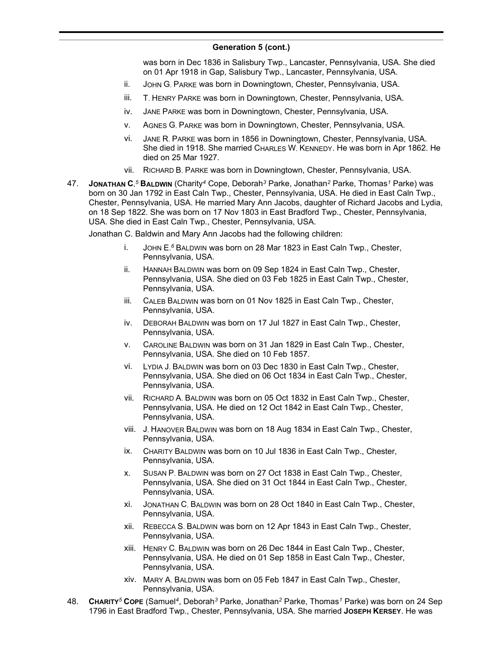### **Generation 5 (cont.)**  $\sum_{i=1}^{n}$

was born in Dec 1836 in Salisbury Twp., Lancaster, Pennsylvania, USA. She died on 01 Apr 1918 in Gap, Salisbury Twp., Lancaster, Pennsylvania, USA.

- ii. JOHN G. PARKE was born in Downingtown, Chester, Pennsylvania, USA.
- iii. T. HENRY PARKE was born in Downingtown, Chester, Pennsylvania, USA.
- iv. JANE PARKE was born in Downingtown, Chester, Pennsylvania, USA.
- v. AGNES G. PARKE was born in Downingtown, Chester, Pennsylvania, USA.
- vi. JANE R. PARKE was born in 1856 in Downingtown, Chester, Pennsylvania, USA. She died in 1918. She married CHARLES W. KENNEDY. He was born in Apr 1862. He died on 25 Mar 1927.
- vii. RICHARD B. PARKE was born in Downingtown, Chester, Pennsylvania, USA.
- 47. **JONATHAN C.** *<sup>5</sup>* **BALDWIN** (Charity*<sup>4</sup>* Cope, Deborah*<sup>3</sup>* Parke, Jonathan*<sup>2</sup>* Parke, Thomas*<sup>1</sup>* Parke) was born on 30 Jan 1792 in East Caln Twp., Chester, Pennsylvania, USA. He died in East Caln Twp., Chester, Pennsylvania, USA. He married Mary Ann Jacobs, daughter of Richard Jacobs and Lydia, on 18 Sep 1822. She was born on 17 Nov 1803 in East Bradford Twp., Chester, Pennsylvania, USA. She died in East Caln Twp., Chester, Pennsylvania, USA.

Jonathan C. Baldwin and Mary Ann Jacobs had the following children:

- i. JOHN E. *<sup>6</sup>* BALDWIN was born on 28 Mar 1823 in East Caln Twp., Chester, Pennsylvania, USA.
- ii. HANNAH BALDWIN was born on 09 Sep 1824 in East Caln Twp., Chester, Pennsylvania, USA. She died on 03 Feb 1825 in East Caln Twp., Chester, Pennsylvania, USA.
- iii. CALEB BALDWIN was born on 01 Nov 1825 in East Caln Twp., Chester, Pennsylvania, USA.
- iv. DEBORAH BALDWIN was born on 17 Jul 1827 in East Caln Twp., Chester, Pennsylvania, USA.
- v. CAROLINE BALDWIN was born on 31 Jan 1829 in East Caln Twp., Chester, Pennsylvania, USA. She died on 10 Feb 1857.
- vi. LYDIA J. BALDWIN was born on 03 Dec 1830 in East Caln Twp., Chester, Pennsylvania, USA. She died on 06 Oct 1834 in East Caln Twp., Chester, Pennsylvania, USA.
- vii. RICHARD A. BALDWIN was born on 05 Oct 1832 in East Caln Twp., Chester, Pennsylvania, USA. He died on 12 Oct 1842 in East Caln Twp., Chester, Pennsylvania, USA.
- viii. J. HANOVER BALDWIN was born on 18 Aug 1834 in East Caln Twp., Chester, Pennsylvania, USA.
- ix. CHARITY BALDWIN was born on 10 Jul 1836 in East Caln Twp., Chester, Pennsylvania, USA.
- x. SUSAN P. BALDWIN was born on 27 Oct 1838 in East Caln Twp., Chester, Pennsylvania, USA. She died on 31 Oct 1844 in East Caln Twp., Chester, Pennsylvania, USA.
- xi. JONATHAN C. BALDWIN was born on 28 Oct 1840 in East Caln Twp., Chester, Pennsylvania, USA.
- xii. REBECCA S. BALDWIN was born on 12 Apr 1843 in East Caln Twp., Chester, Pennsylvania, USA.
- xiii. HENRY C. BALDWIN was born on 26 Dec 1844 in East Caln Twp., Chester, Pennsylvania, USA. He died on 01 Sep 1858 in East Caln Twp., Chester, Pennsylvania, USA.
- xiv. MARY A. BALDWIN was born on 05 Feb 1847 in East Caln Twp., Chester, Pennsylvania, USA.
- 48. **CHARITY***<sup>5</sup>* **COPE** (Samuel*<sup>4</sup>* , Deborah*<sup>3</sup>* Parke, Jonathan*<sup>2</sup>* Parke, Thomas*<sup>1</sup>* Parke) was born on 24 Sep 1796 in East Bradford Twp., Chester, Pennsylvania, USA. She married **JOSEPH KERSEY**. He was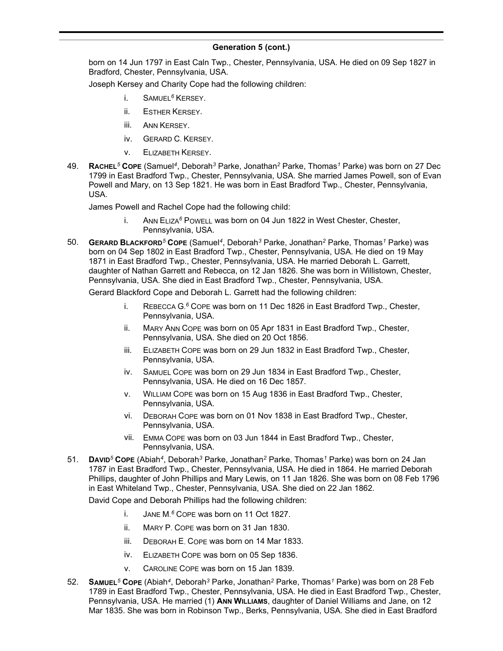born on 14 Jun 1797 in East Caln Twp., Chester, Pennsylvania, USA. He died on 09 Sep 1827 in Bradford, Chester, Pennsylvania, USA.

Joseph Kersey and Charity Cope had the following children:

- i. SAMUEL*<sup>6</sup>* KERSEY.
- ii. ESTHER KERSEY.
- iii. ANN KERSEY.
- iv. GERARD C. KERSEY.
- v. ELIZABETH KERSEY.
- 49. **RACHEL***<sup>5</sup>* **COPE** (Samuel*<sup>4</sup>* , Deborah*<sup>3</sup>* Parke, Jonathan*<sup>2</sup>* Parke, Thomas*<sup>1</sup>* Parke) was born on 27 Dec 1799 in East Bradford Twp., Chester, Pennsylvania, USA. She married James Powell, son of Evan Powell and Mary, on 13 Sep 1821. He was born in East Bradford Twp., Chester, Pennsylvania, USA.

James Powell and Rachel Cope had the following child:

- i. ANN ELIZA*<sup>6</sup>* POWELL was born on 04 Jun 1822 in West Chester, Chester, Pennsylvania, USA.
- 50. **GERARD BLACKFORD***<sup>5</sup>* **COPE** (Samuel*<sup>4</sup>* , Deborah*<sup>3</sup>* Parke, Jonathan*<sup>2</sup>* Parke, Thomas*<sup>1</sup>* Parke) was born on 04 Sep 1802 in East Bradford Twp., Chester, Pennsylvania, USA. He died on 19 May 1871 in East Bradford Twp., Chester, Pennsylvania, USA. He married Deborah L. Garrett, daughter of Nathan Garrett and Rebecca, on 12 Jan 1826. She was born in Willistown, Chester, Pennsylvania, USA. She died in East Bradford Twp., Chester, Pennsylvania, USA.

Gerard Blackford Cope and Deborah L. Garrett had the following children:

- i. REBECCA G. *<sup>6</sup>* COPE was born on 11 Dec 1826 in East Bradford Twp., Chester, Pennsylvania, USA.
- ii. MARY ANN COPE was born on 05 Apr 1831 in East Bradford Twp., Chester, Pennsylvania, USA. She died on 20 Oct 1856.
- iii. ELIZABETH COPE was born on 29 Jun 1832 in East Bradford Twp., Chester, Pennsylvania, USA.
- iv. SAMUEL COPE was born on 29 Jun 1834 in East Bradford Twp., Chester, Pennsylvania, USA. He died on 16 Dec 1857.
- v. WILLIAM COPE was born on 15 Aug 1836 in East Bradford Twp., Chester, Pennsylvania, USA.
- vi. DEBORAH COPE was born on 01 Nov 1838 in East Bradford Twp., Chester, Pennsylvania, USA.
- vii. EMMA COPE was born on 03 Jun 1844 in East Bradford Twp., Chester, Pennsylvania, USA.
- 51. **DAVID***<sup>5</sup>* **COPE** (Abiah*<sup>4</sup>* , Deborah*<sup>3</sup>* Parke, Jonathan*<sup>2</sup>* Parke, Thomas*<sup>1</sup>* Parke) was born on 24 Jan 1787 in East Bradford Twp., Chester, Pennsylvania, USA. He died in 1864. He married Deborah Phillips, daughter of John Phillips and Mary Lewis, on 11 Jan 1826. She was born on 08 Feb 1796 in East Whiteland Twp., Chester, Pennsylvania, USA. She died on 22 Jan 1862.

David Cope and Deborah Phillips had the following children:

- i. JANE M. *<sup>6</sup>* COPE was born on 11 Oct 1827.
- ii. MARY P. COPE was born on 31 Jan 1830.
- iii. DEBORAH E. COPE was born on 14 Mar 1833.
- iv. ELIZABETH COPE was born on 05 Sep 1836.
- v. CAROLINE COPE was born on 15 Jan 1839.
- 52. **SAMUEL***<sup>5</sup>* **COPE** (Abiah*<sup>4</sup>* , Deborah*<sup>3</sup>* Parke, Jonathan*<sup>2</sup>* Parke, Thomas*<sup>1</sup>* Parke) was born on 28 Feb 1789 in East Bradford Twp., Chester, Pennsylvania, USA. He died in East Bradford Twp., Chester, Pennsylvania, USA. He married (1) ANN WILLIAMS, daughter of Daniel Williams and Jane, on 12 Mar 1835. She was born in Robinson Twp., Berks, Pennsylvania, USA. She died in East Bradford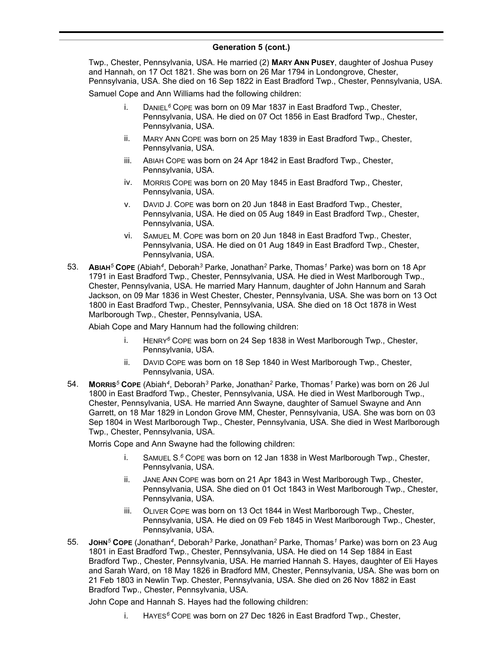Twp., Chester, Pennsylvania, USA. He married (2) **MARY ANN PUSEY**, daughter of Joshua Pusey and Hannah, on 17 Oct 1821. She was born on 26 Mar 1794 in Londongrove, Chester, Pennsylvania, USA. She died on 16 Sep 1822 in East Bradford Twp., Chester, Pennsylvania, USA.

Samuel Cope and Ann Williams had the following children:

- i. DANIEL*<sup>6</sup>* COPE was born on 09 Mar 1837 in East Bradford Twp., Chester, Pennsylvania, USA. He died on 07 Oct 1856 in East Bradford Twp., Chester, Pennsylvania, USA.
- ii. MARY ANN COPE was born on 25 May 1839 in East Bradford Twp., Chester, Pennsylvania, USA.
- iii. ABIAH COPE was born on 24 Apr 1842 in East Bradford Twp., Chester, Pennsylvania, USA.
- iv. MORRIS COPE was born on 20 May 1845 in East Bradford Twp., Chester, Pennsylvania, USA.
- v. DAVID J. COPE was born on 20 Jun 1848 in East Bradford Twp., Chester, Pennsylvania, USA. He died on 05 Aug 1849 in East Bradford Twp., Chester, Pennsylvania, USA.
- vi. SAMUEL M. COPE was born on 20 Jun 1848 in East Bradford Twp., Chester, Pennsylvania, USA. He died on 01 Aug 1849 in East Bradford Twp., Chester, Pennsylvania, USA.
- 53. **ABIAH***<sup>5</sup>* **COPE** (Abiah*<sup>4</sup>* , Deborah*<sup>3</sup>* Parke, Jonathan*<sup>2</sup>* Parke, Thomas*<sup>1</sup>* Parke) was born on 18 Apr 1791 in East Bradford Twp., Chester, Pennsylvania, USA. He died in West Marlborough Twp., Chester, Pennsylvania, USA. He married Mary Hannum, daughter of John Hannum and Sarah Jackson, on 09 Mar 1836 in West Chester, Chester, Pennsylvania, USA. She was born on 13 Oct 1800 in East Bradford Twp., Chester, Pennsylvania, USA. She died on 18 Oct 1878 in West Marlborough Twp., Chester, Pennsylvania, USA.

Abiah Cope and Mary Hannum had the following children:

- i. HENRY*<sup>6</sup>* COPE was born on 24 Sep 1838 in West Marlborough Twp., Chester, Pennsylvania, USA.
- ii. DAVID COPE was born on 18 Sep 1840 in West Marlborough Twp., Chester, Pennsylvania, USA.
- 54. **MORRIS***<sup>5</sup>* **COPE** (Abiah*<sup>4</sup>* , Deborah*<sup>3</sup>* Parke, Jonathan*<sup>2</sup>* Parke, Thomas*<sup>1</sup>* Parke) was born on 26 Jul 1800 in East Bradford Twp., Chester, Pennsylvania, USA. He died in West Marlborough Twp., Chester, Pennsylvania, USA. He married Ann Swayne, daughter of Samuel Swayne and Ann Garrett, on 18 Mar 1829 in London Grove MM, Chester, Pennsylvania, USA. She was born on 03 Sep 1804 in West Marlborough Twp., Chester, Pennsylvania, USA. She died in West Marlborough Twp., Chester, Pennsylvania, USA.

Morris Cope and Ann Swayne had the following children:

- i. SAMUEL S. *<sup>6</sup>* COPE was born on 12 Jan 1838 in West Marlborough Twp., Chester, Pennsylvania, USA.
- ii. JANE ANN COPE was born on 21 Apr 1843 in West Marlborough Twp., Chester, Pennsylvania, USA. She died on 01 Oct 1843 in West Marlborough Twp., Chester, Pennsylvania, USA.
- iii. OLIVER COPE was born on 13 Oct 1844 in West Marlborough Twp., Chester, Pennsylvania, USA. He died on 09 Feb 1845 in West Marlborough Twp., Chester, Pennsylvania, USA.
- 55. **JOHN***<sup>5</sup>* **COPE** (Jonathan*<sup>4</sup>* , Deborah*<sup>3</sup>* Parke, Jonathan*<sup>2</sup>* Parke, Thomas*<sup>1</sup>* Parke) was born on 23 Aug 1801 in East Bradford Twp., Chester, Pennsylvania, USA. He died on 14 Sep 1884 in East Bradford Twp., Chester, Pennsylvania, USA. He married Hannah S. Hayes, daughter of Eli Hayes and Sarah Ward, on 18 May 1826 in Bradford MM, Chester, Pennsylvania, USA. She was born on 21 Feb 1803 in Newlin Twp. Chester, Pennsylvania, USA. She died on 26 Nov 1882 in East Bradford Twp., Chester, Pennsylvania, USA.

John Cope and Hannah S. Hayes had the following children:

i. HAYES*<sup>6</sup>* COPE was born on 27 Dec 1826 in East Bradford Twp., Chester,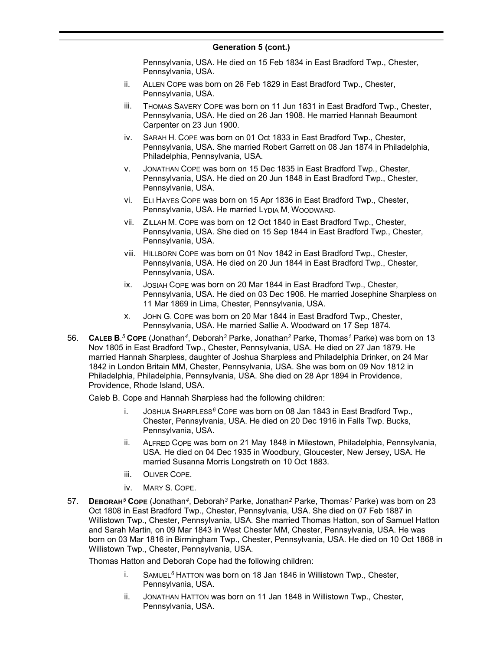Pennsylvania, USA. He died on 15 Feb 1834 in East Bradford Twp., Chester, Pennsylvania, USA.

- ii. ALLEN COPE was born on 26 Feb 1829 in East Bradford Twp., Chester, Pennsylvania, USA.
- iii. THOMAS SAVERY COPE was born on 11 Jun 1831 in East Bradford Twp., Chester, Pennsylvania, USA. He died on 26 Jan 1908. He married Hannah Beaumont Carpenter on 23 Jun 1900.
- iv. SARAH H. COPE was born on 01 Oct 1833 in East Bradford Twp., Chester, Pennsylvania, USA. She married Robert Garrett on 08 Jan 1874 in Philadelphia, Philadelphia, Pennsylvania, USA.
- v. JONATHAN COPE was born on 15 Dec 1835 in East Bradford Twp., Chester, Pennsylvania, USA. He died on 20 Jun 1848 in East Bradford Twp., Chester, Pennsylvania, USA.
- vi. ELI HAYES COPE was born on 15 Apr 1836 in East Bradford Twp., Chester, Pennsylvania, USA. He married LYDIA M. WOODWARD.
- vii. ZILLAH M. COPE was born on 12 Oct 1840 in East Bradford Twp., Chester, Pennsylvania, USA. She died on 15 Sep 1844 in East Bradford Twp., Chester, Pennsylvania, USA.
- viii. HILLBORN COPE was born on 01 Nov 1842 in East Bradford Twp., Chester, Pennsylvania, USA. He died on 20 Jun 1844 in East Bradford Twp., Chester, Pennsylvania, USA.
- ix. JOSIAH COPE was born on 20 Mar 1844 in East Bradford Twp., Chester, Pennsylvania, USA. He died on 03 Dec 1906. He married Josephine Sharpless on 11 Mar 1869 in Lima, Chester, Pennsylvania, USA.
- x. JOHN G. COPE was born on 20 Mar 1844 in East Bradford Twp., Chester, Pennsylvania, USA. He married Sallie A. Woodward on 17 Sep 1874.
- 56. **CALEB B.** *<sup>5</sup>* **COPE** (Jonathan*<sup>4</sup>* , Deborah*<sup>3</sup>* Parke, Jonathan*<sup>2</sup>* Parke, Thomas*<sup>1</sup>* Parke) was born on 13 Nov 1805 in East Bradford Twp., Chester, Pennsylvania, USA. He died on 27 Jan 1879. He married Hannah Sharpless, daughter of Joshua Sharpless and Philadelphia Drinker, on 24 Mar 1842 in London Britain MM, Chester, Pennsylvania, USA. She was born on 09 Nov 1812 in Philadelphia, Philadelphia, Pennsylvania, USA. She died on 28 Apr 1894 in Providence, Providence, Rhode Island, USA.

Caleb B. Cope and Hannah Sharpless had the following children:

- i. JOSHUA SHARPLESS*<sup>6</sup>* COPE was born on 08 Jan 1843 in East Bradford Twp., Chester, Pennsylvania, USA. He died on 20 Dec 1916 in Falls Twp. Bucks, Pennsylvania, USA.
- ii. ALFRED COPE was born on 21 May 1848 in Milestown, Philadelphia, Pennsylvania, USA. He died on 04 Dec 1935 in Woodbury, Gloucester, New Jersey, USA. He married Susanna Morris Longstreth on 10 Oct 1883.
- iii. OLIVER COPE.
- iv. MARY S. COPE.
- 57. **DEBORAH***<sup>5</sup>* **COPE** (Jonathan*<sup>4</sup>* , Deborah*<sup>3</sup>* Parke, Jonathan*<sup>2</sup>* Parke, Thomas*<sup>1</sup>* Parke) was born on 23 Oct 1808 in East Bradford Twp., Chester, Pennsylvania, USA. She died on 07 Feb 1887 in Willistown Twp., Chester, Pennsylvania, USA. She married Thomas Hatton, son of Samuel Hatton and Sarah Martin, on 09 Mar 1843 in West Chester MM, Chester, Pennsylvania, USA. He was born on 03 Mar 1816 in Birmingham Twp., Chester, Pennsylvania, USA. He died on 10 Oct 1868 in Willistown Twp., Chester, Pennsylvania, USA.

Thomas Hatton and Deborah Cope had the following children:

- i. SAMUEL*<sup>6</sup>* HATTON was born on 18 Jan 1846 in Willistown Twp., Chester, Pennsylvania, USA.
- ii. JONATHAN HATTON was born on 11 Jan 1848 in Willistown Twp., Chester, Pennsylvania, USA.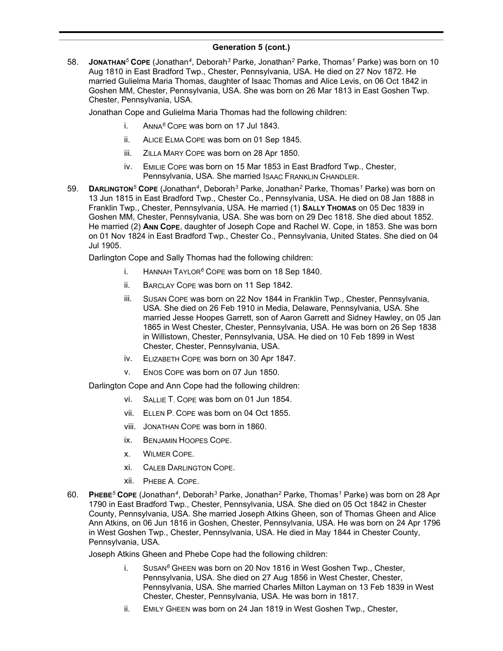58. **JONATHAN***<sup>5</sup>* **COPE** (Jonathan*<sup>4</sup>* , Deborah*<sup>3</sup>* Parke, Jonathan*<sup>2</sup>* Parke, Thomas*<sup>1</sup>* Parke) was born on 10 Aug 1810 in East Bradford Twp., Chester, Pennsylvania, USA. He died on 27 Nov 1872. He married Gulielma Maria Thomas, daughter of Isaac Thomas and Alice Levis, on 06 Oct 1842 in Goshen MM, Chester, Pennsylvania, USA. She was born on 26 Mar 1813 in East Goshen Twp. Chester, Pennsylvania, USA.

Jonathan Cope and Gulielma Maria Thomas had the following children:

- i. ANNA*<sup>6</sup>* COPE was born on 17 Jul 1843.
- ii. ALICE ELMA COPE was born on 01 Sep 1845.
- iii. ZILLA MARY COPE was born on 28 Apr 1850.
- iv. EMILIE COPE was born on 15 Mar 1853 in East Bradford Twp., Chester, Pennsylvania, USA. She married ISAAC FRANKLIN CHANDLER.
- 59. **DARLINGTON***<sup>5</sup>* **COPE** (Jonathan*<sup>4</sup>* , Deborah*<sup>3</sup>* Parke, Jonathan*<sup>2</sup>* Parke, Thomas*<sup>1</sup>* Parke) was born on 13 Jun 1815 in East Bradford Twp., Chester Co., Pennsylvania, USA. He died on 08 Jan 1888 in Franklin Twp., Chester, Pennsylvania, USA. He married (1) **SALLY THOMAS** on 05 Dec 1839 in Goshen MM, Chester, Pennsylvania, USA. She was born on 29 Dec 1818. She died about 1852. He married (2) **ANN COPE**, daughter of Joseph Cope and Rachel W. Cope, in 1853. She was born on 01 Nov 1824 in East Bradford Twp., Chester Co., Pennsylvania, United States. She died on 04 Jul 1905.

Darlington Cope and Sally Thomas had the following children:

- i. HANNAH TAYLOR*<sup>6</sup>* COPE was born on 18 Sep 1840.
- ii. BARCLAY COPE was born on 11 Sep 1842.
- iii. SUSAN COPE was born on 22 Nov 1844 in Franklin Twp., Chester, Pennsylvania, USA. She died on 26 Feb 1910 in Media, Delaware, Pennsylvania, USA. She married Jesse Hoopes Garrett, son of Aaron Garrett and Sidney Hawley, on 05 Jan 1865 in West Chester, Chester, Pennsylvania, USA. He was born on 26 Sep 1838 in Willistown, Chester, Pennsylvania, USA. He died on 10 Feb 1899 in West Chester, Chester, Pennsylvania, USA.
- iv. ELIZABETH COPE was born on 30 Apr 1847.
- v. ENOS COPE was born on 07 Jun 1850.

Darlington Cope and Ann Cope had the following children:

- VI. SALLIF T. COPF was born on 01 Jun 1854.
- vii. ELLEN P. COPE was born on 04 Oct 1855.
- viii. JONATHAN COPE was born in 1860.
- ix. BENJAMIN HOOPES COPE.
- x. WILMER COPE.
- xi. CALEB DARLINGTON COPE.
- xii. PHEBE A. COPE.
- 60. **PHEBE***<sup>5</sup>* **COPE** (Jonathan*<sup>4</sup>* , Deborah*<sup>3</sup>* Parke, Jonathan*<sup>2</sup>* Parke, Thomas*<sup>1</sup>* Parke) was born on 28 Apr 1790 in East Bradford Twp., Chester, Pennsylvania, USA. She died on 05 Oct 1842 in Chester County, Pennsylvania, USA. She married Joseph Atkins Gheen, son of Thomas Gheen and Alice Ann Atkins, on 06 Jun 1816 in Goshen, Chester, Pennsylvania, USA. He was born on 24 Apr 1796 in West Goshen Twp., Chester, Pennsylvania, USA. He died in May 1844 in Chester County, Pennsylvania, USA.

Joseph Atkins Gheen and Phebe Cope had the following children:

- i. SUSAN*<sup>6</sup>* GHEEN was born on 20 Nov 1816 in West Goshen Twp., Chester, Pennsylvania, USA. She died on 27 Aug 1856 in West Chester, Chester, Pennsylvania, USA. She married Charles Milton Layman on 13 Feb 1839 in West Chester, Chester, Pennsylvania, USA. He was born in 1817.
- ii. EMILY GHEEN was born on 24 Jan 1819 in West Goshen Twp., Chester,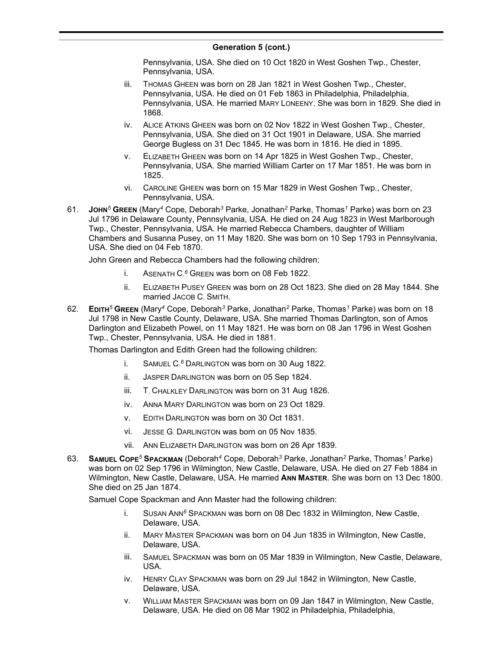Pennsylvania, USA. She died on 10 Oct 1820 in West Goshen Twp., Chester, Pennsylvania, USA.

- iii. THOMAS GHEEN was born on 28 Jan 1821 in West Goshen Twp., Chester, Pennsylvania, USA. He died on 01 Feb 1863 in Philadelphia, Philadelphia, Pennsylvania, USA. He married MARY LONEENY. She was born in 1829. She died in 1868.
- iv. ALICE ATKINS GHEEN was born on 02 Nov 1822 in West Goshen Twp., Chester, Pennsylvania, USA. She died on 31 Oct 1901 in Delaware, USA. She married George Bugless on 31 Dec 1845. He was born in 1816. He died in 1895.
- v. ELIZABETH GHEEN was born on 14 Apr 1825 in West Goshen Twp., Chester, Pennsylvania, USA. She married William Carter on 17 Mar 1851. He was born in 1825.
- vi. CAROLINE GHEEN was born on 15 Mar 1829 in West Goshen Twp., Chester, Pennsylvania, USA.
- 61. **JOHN***<sup>5</sup>* **GREEN** (Mary*<sup>4</sup>* Cope, Deborah*<sup>3</sup>* Parke, Jonathan*<sup>2</sup>* Parke, Thomas*<sup>1</sup>* Parke) was born on 23 Jul 1796 in Delaware County, Pennsylvania, USA. He died on 24 Aug 1823 in West Marlborough Twp., Chester, Pennsylvania, USA. He married Rebecca Chambers, daughter of William Chambers and Susanna Pusey, on 11 May 1820. She was born on 10 Sep 1793 in Pennsylvania, USA. She died on 04 Feb 1870.

John Green and Rebecca Chambers had the following children:

- i. ASENATH C. *<sup>6</sup>* GREEN was born on 08 Feb 1822.
- ii. ELIZABETH PUSEY GREEN was born on 28 Oct 1823. She died on 28 May 1844. She married JACOB C. SMITH.
- 62. **EDITH***<sup>5</sup>* **GREEN** (Mary*<sup>4</sup>* Cope, Deborah*<sup>3</sup>* Parke, Jonathan*<sup>2</sup>* Parke, Thomas*<sup>1</sup>* Parke) was born on 18 Jul 1798 in New Castle County, Delaware, USA. She married Thomas Darlington, son of Amos Darlington and Elizabeth Powel, on 11 May 1821. He was born on 08 Jan 1796 in West Goshen Twp., Chester, Pennsylvania, USA. He died in 1881.

Thomas Darlington and Edith Green had the following children:

- i. SAMUEL C. *<sup>6</sup>* DARLINGTON was born on 30 Aug 1822.
- ii. JASPER DARLINGTON was born on 05 Sep 1824.
- iii. T. CHALKLEY DARLINGTON was born on 31 Aug 1826.
- iv. ANNA MARY DARLINGTON was born on 23 Oct 1829.
- v. EDITH DARLINGTON was born on 30 Oct 1831.
- vi. JESSE G. DARLINGTON was born on 05 Nov 1835.
- vii. ANN ELIZABETH DARLINGTON was born on 26 Apr 1839.
- 63. **SAMUEL COPE***<sup>5</sup>* **SPACKMAN** (Deborah*<sup>4</sup>* Cope, Deborah*<sup>3</sup>* Parke, Jonathan*<sup>2</sup>* Parke, Thomas*<sup>1</sup>* Parke) was born on 02 Sep 1796 in Wilmington, New Castle, Delaware, USA. He died on 27 Feb 1884 in Wilmington, New Castle, Delaware, USA. He married **ANN MASTER**. She was born on 13 Dec 1800. She died on 25 Jan 1874.

Samuel Cope Spackman and Ann Master had the following children:

- i. SUSAN ANN*<sup>6</sup>* SPACKMAN was born on 08 Dec 1832 in Wilmington, New Castle, Delaware, USA.
- ii. MARY MASTER SPACKMAN was born on 04 Jun 1835 in Wilmington, New Castle, Delaware, USA.
- iii. SAMUEL SPACKMAN was born on 05 Mar 1839 in Wilmington, New Castle, Delaware, USA.
- iv. HENRY CLAY SPACKMAN was born on 29 Jul 1842 in Wilmington, New Castle, Delaware, USA.
- v. WILLIAM MASTER SPACKMAN was born on 09 Jan 1847 in Wilmington, New Castle, Delaware, USA. He died on 08 Mar 1902 in Philadelphia, Philadelphia,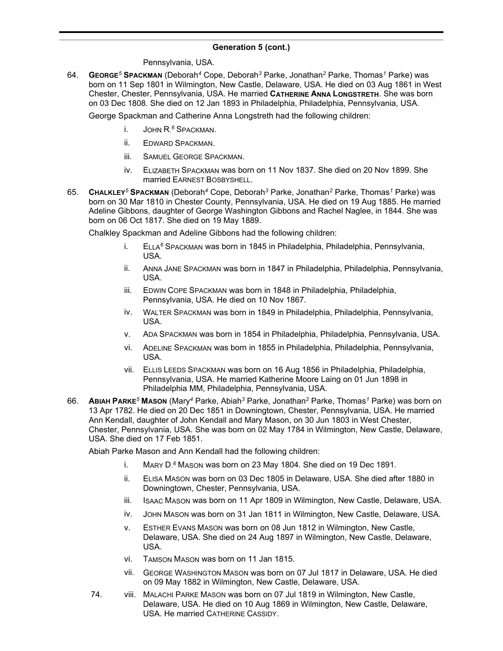Pennsylvania, USA.

64. **GEORGE***<sup>5</sup>* **SPACKMAN** (Deborah*<sup>4</sup>* Cope, Deborah*<sup>3</sup>* Parke, Jonathan*<sup>2</sup>* Parke, Thomas*<sup>1</sup>* Parke) was born on 11 Sep 1801 in Wilmington, New Castle, Delaware, USA. He died on 03 Aug 1861 in West Chester, Chester, Pennsylvania, USA. He married **CATHERINE ANNA LONGSTRETH**. She was born on 03 Dec 1808. She died on 12 Jan 1893 in Philadelphia, Philadelphia, Pennsylvania, USA.

George Spackman and Catherine Anna Longstreth had the following children:

- i. JOHN R. *<sup>6</sup>* SPACKMAN.
- ii. EDWARD SPACKMAN.
- iii. SAMUEL GEORGE SPACKMAN.
- iv. ELIZABETH SPACKMAN was born on 11 Nov 1837. She died on 20 Nov 1899. She married EARNEST BOSBYSHELL.
- 65. **CHALKLEY***<sup>5</sup>* **SPACKMAN** (Deborah*<sup>4</sup>* Cope, Deborah*<sup>3</sup>* Parke, Jonathan*<sup>2</sup>* Parke, Thomas*<sup>1</sup>* Parke) was born on 30 Mar 1810 in Chester County, Pennsylvania, USA. He died on 19 Aug 1885. He married Adeline Gibbons, daughter of George Washington Gibbons and Rachel Naglee, in 1844. She was born on 06 Oct 1817. She died on 19 May 1889.

Chalkley Spackman and Adeline Gibbons had the following children:

- i. ELLA*<sup>6</sup>* SPACKMAN was born in 1845 in Philadelphia, Philadelphia, Pennsylvania, USA.
- ii. ANNA JANE SPACKMAN was born in 1847 in Philadelphia, Philadelphia, Pennsylvania, USA.
- iii. EDWIN COPE SPACKMAN was born in 1848 in Philadelphia, Philadelphia, Pennsylvania, USA. He died on 10 Nov 1867.
- iv. WALTER SPACKMAN was born in 1849 in Philadelphia, Philadelphia, Pennsylvania, USA.
- v. ADA SPACKMAN was born in 1854 in Philadelphia, Philadelphia, Pennsylvania, USA.
- vi. ADELINE SPACKMAN was born in 1855 in Philadelphia, Philadelphia, Pennsylvania, USA.
- vii. ELLIS LEEDS SPACKMAN was born on 16 Aug 1856 in Philadelphia, Philadelphia, Pennsylvania, USA. He married Katherine Moore Laing on 01 Jun 1898 in Philadelphia MM, Philadelphia, Pennsylvania, USA.
- 66. **ABIAH PARKE***<sup>5</sup>* **MASON** (Mary*<sup>4</sup>* Parke, Abiah*<sup>3</sup>* Parke, Jonathan*<sup>2</sup>* Parke, Thomas*<sup>1</sup>* Parke) was born on 13 Apr 1782. He died on 20 Dec 1851 in Downingtown, Chester, Pennsylvania, USA. He married Ann Kendall, daughter of John Kendall and Mary Mason, on 30 Jun 1803 in West Chester, Chester, Pennsylvania, USA. She was born on 02 May 1784 in Wilmington, New Castle, Delaware, USA. She died on 17 Feb 1851.

Abiah Parke Mason and Ann Kendall had the following children:

- i. MARY D. *<sup>6</sup>* MASON was born on 23 May 1804. She died on 19 Dec 1891.
- ii. ELISA MASON was born on 03 Dec 1805 in Delaware, USA. She died after 1880 in Downingtown, Chester, Pennsylvania, USA.
- iii. ISAAC MASON was born on 11 Apr 1809 in Wilmington, New Castle, Delaware, USA.
- iv. JOHN MASON was born on 31 Jan 1811 in Wilmington, New Castle, Delaware, USA.
- v. ESTHER EVANS MASON was born on 08 Jun 1812 in Wilmington, New Castle, Delaware, USA. She died on 24 Aug 1897 in Wilmington, New Castle, Delaware, USA.
- vi. TAMSON MASON was born on 11 Jan 1815.
- vii. GEORGE WASHINGTON MASON was born on 07 Jul 1817 in Delaware, USA. He died on 09 May 1882 in Wilmington, New Castle, Delaware, USA.
- 74. viii. MALACHI PARKE MASON was born on 07 Jul 1819 in Wilmington, New Castle, Delaware, USA. He died on 10 Aug 1869 in Wilmington, New Castle, Delaware, USA. He married CATHERINE CASSIDY.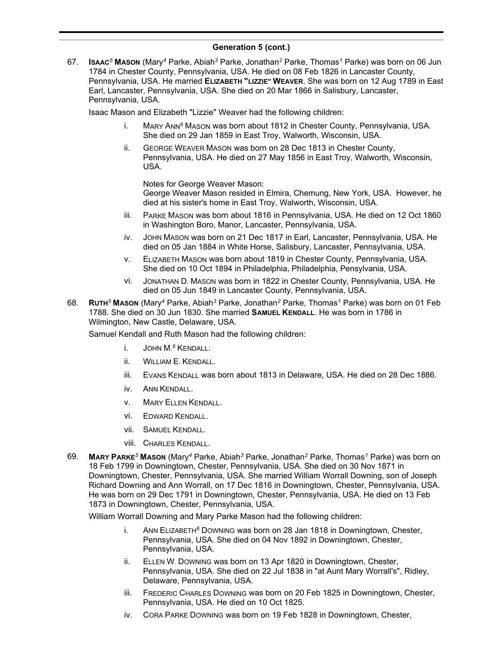67. **ISAAC***<sup>5</sup>* **MASON** (Mary*<sup>4</sup>* Parke, Abiah*<sup>3</sup>* Parke, Jonathan*<sup>2</sup>* Parke, Thomas*<sup>1</sup>* Parke) was born on 06 Jun 1784 in Chester County, Pennsylvania, USA. He died on 08 Feb 1826 in Lancaster County, Pennsylvania, USA. He married **ELIZABETH "LIZZIE" WEAVER**. She was born on 12 Aug 1789 in East Earl, Lancaster, Pennsylvania, USA. She died on 20 Mar 1866 in Salisbury, Lancaster, Pennsylvania, USA.

Isaac Mason and Elizabeth "Lizzie" Weaver had the following children:

- i. MARY ANN*<sup>6</sup>* MASON was born about 1812 in Chester County, Pennsylvania, USA. She died on 29 Jan 1859 in East Troy, Walworth, Wisconsin, USA.
- ii. GEORGE WEAVER MASON was born on 28 Dec 1813 in Chester County, Pennsylvania, USA. He died on 27 May 1856 in East Troy, Walworth, Wisconsin, USA.

Notes for George Weaver Mason:

George Weaver Mason resided in Elmira, Chemung, New York, USA. However, he died at his sister's home in East Troy, Walworth, Wisconsin, USA.

- iii. PARKE MASON was born about 1816 in Pennsylvania, USA. He died on 12 Oct 1860 in Washington Boro, Manor, Lancaster, Pennsylvania, USA.
- iv. JOHN MASON was born on 21 Dec 1817 in Earl, Lancaster, Pennsylvania, USA. He died on 05 Jan 1884 in White Horse, Salisbury, Lancaster, Pennsylvania, USA.
- v. ELIZABETH MASON was born about 1819 in Chester County, Pennsylvania, USA. She died on 10 Oct 1894 in Philadelphia, Philadelphia, Pensylvania, USA.
- vi. JONATHAN D. MASON was born in 1822 in Chester County, Pennsylvania, USA. He died on 05 Jun 1849 in Lancaster County, Pennsylvania, USA.
- 68. **RUTH***<sup>5</sup>* **MASON** (Mary*<sup>4</sup>* Parke, Abiah*<sup>3</sup>* Parke, Jonathan*<sup>2</sup>* Parke, Thomas*<sup>1</sup>* Parke) was born on 01 Feb 1788. She died on 30 Jun 1830. She married **SAMUEL KENDALL**. He was born in 1786 in Wilmington, New Castle, Delaware, USA.

Samuel Kendall and Ruth Mason had the following children:

- i. JOHN M. *<sup>6</sup>* KENDALL.
- ii. WILLIAM E. KENDALL.
- iii. EVANS KENDALL was born about 1813 in Delaware, USA. He died on 28 Dec 1886.
- iv. ANN KENDALL.
- v. MARY ELLEN KENDALL.
- vi. EDWARD KENDALL.
- vii. SAMUEL KENDALL.
- viii. CHARLES KENDALL.
- 69. **MARY PARKE***<sup>5</sup>* **MASON** (Mary*<sup>4</sup>* Parke, Abiah*<sup>3</sup>* Parke, Jonathan*<sup>2</sup>* Parke, Thomas*<sup>1</sup>* Parke) was born on 18 Feb 1799 in Downingtown, Chester, Pennsylvania, USA. She died on 30 Nov 1871 in Downingtown, Chester, Pennsylvania, USA. She married William Worrall Downing, son of Joseph Richard Downing and Ann Worrall, on 17 Dec 1816 in Downingtown, Chester, Pennsylvania, USA. He was born on 29 Dec 1791 in Downingtown, Chester, Pennsylvania, USA. He died on 13 Feb 1873 in Downingtown, Chester, Pennsylvania, USA.

William Worrall Downing and Mary Parke Mason had the following children:

- i. ANN ELIZABETH*<sup>6</sup>* DOWNING was born on 28 Jan 1818 in Downingtown, Chester, Pennsylvania, USA. She died on 04 Nov 1892 in Downingtown, Chester, Pennsylvania, USA.
- ii. ELLEN W. DOWNING was born on 13 Apr 1820 in Downingtown, Chester, Pennsylvania, USA. She died on 22 Jul 1838 in "at Aunt Mary Worrall's", Ridley, Delaware, Pennsylvania, USA.
- iii. FREDERIC CHARLES DOWNING was born on 20 Feb 1825 in Downingtown, Chester, Pennsylvania, USA. He died on 10 Oct 1825.
- iv. CORA PARKE DOWNING was born on 19 Feb 1828 in Downingtown, Chester,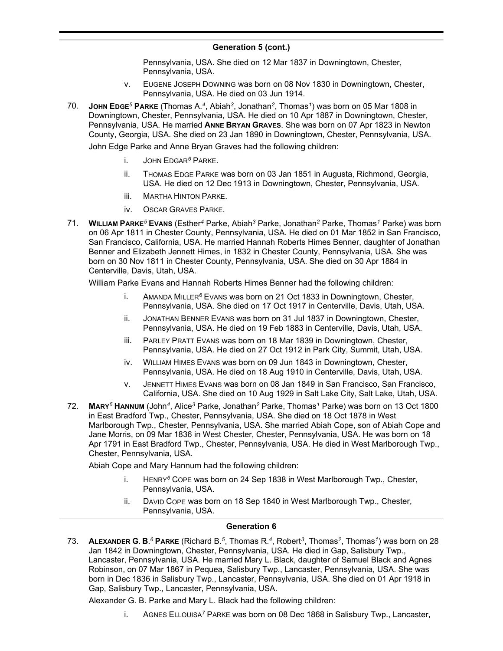Pennsylvania, USA. She died on 12 Mar 1837 in Downingtown, Chester, Pennsylvania, USA.

- v. EUGENE JOSEPH DOWNING was born on 08 Nov 1830 in Downingtown, Chester, Pennsylvania, USA. He died on 03 Jun 1914.
- 70. **JOHN EDGE***<sup>5</sup>* **PARKE** (Thomas A.*<sup>4</sup>* , Abiah*<sup>3</sup>* , Jonathan*<sup>2</sup>* , Thomas*<sup>1</sup>* ) was born on 05 Mar 1808 in Downingtown, Chester, Pennsylvania, USA. He died on 10 Apr 1887 in Downingtown, Chester, Pennsylvania, USA. He married **ANNE BRYAN GRAVES**. She was born on 07 Apr 1823 in Newton County, Georgia, USA. She died on 23 Jan 1890 in Downingtown, Chester, Pennsylvania, USA.

John Edge Parke and Anne Bryan Graves had the following children:

- i. JOHN EDGAR*<sup>6</sup>* PARKE.
- ii. THOMAS EDGE PARKE was born on 03 Jan 1851 in Augusta, Richmond, Georgia, USA. He died on 12 Dec 1913 in Downingtown, Chester, Pennsylvania, USA.
- iii. MARTHA HINTON PARKE.
- iv. OSCAR GRAVES PARKE.
- 71. **WILLIAM PARKE***<sup>5</sup>* **EVANS** (Esther*<sup>4</sup>* Parke, Abiah*<sup>3</sup>* Parke, Jonathan*<sup>2</sup>* Parke, Thomas*<sup>1</sup>* Parke) was born on 06 Apr 1811 in Chester County, Pennsylvania, USA. He died on 01 Mar 1852 in San Francisco, San Francisco, California, USA. He married Hannah Roberts Himes Benner, daughter of Jonathan Benner and Elizabeth Jennett Himes, in 1832 in Chester County, Pennsylvania, USA. She was born on 30 Nov 1811 in Chester County, Pennsylvania, USA. She died on 30 Apr 1884 in Centerville, Davis, Utah, USA.

William Parke Evans and Hannah Roberts Himes Benner had the following children:

- i. AMANDA MILLER*<sup>6</sup>* EVANS was born on 21 Oct 1833 in Downingtown, Chester, Pennsylvania, USA. She died on 17 Oct 1917 in Centerville, Davis, Utah, USA.
- ii. JONATHAN BENNER EVANS was born on 31 Jul 1837 in Downingtown, Chester, Pennsylvania, USA. He died on 19 Feb 1883 in Centerville, Davis, Utah, USA.
- iii. PARLEY PRATT EVANS was born on 18 Mar 1839 in Downingtown, Chester, Pennsylvania, USA. He died on 27 Oct 1912 in Park City, Summit, Utah, USA.
- iv. WILLIAM HIMES EVANS was born on 09 Jun 1843 in Downingtown, Chester, Pennsylvania, USA. He died on 18 Aug 1910 in Centerville, Davis, Utah, USA.
- v. JENNETT HIMES EVANS was born on 08 Jan 1849 in San Francisco, San Francisco, California, USA. She died on 10 Aug 1929 in Salt Lake City, Salt Lake, Utah, USA.
- 72. **MARY***<sup>5</sup>* **HANNUM** (John*<sup>4</sup>* , Alice*<sup>3</sup>* Parke, Jonathan*<sup>2</sup>* Parke, Thomas*<sup>1</sup>* Parke) was born on 13 Oct 1800 in East Bradford Twp., Chester, Pennsylvania, USA. She died on 18 Oct 1878 in West Marlborough Twp., Chester, Pennsylvania, USA. She married Abiah Cope, son of Abiah Cope and Jane Morris, on 09 Mar 1836 in West Chester, Chester, Pennsylvania, USA. He was born on 18 Apr 1791 in East Bradford Twp., Chester, Pennsylvania, USA. He died in West Marlborough Twp., Chester, Pennsylvania, USA.

Abiah Cope and Mary Hannum had the following children:

- i. HENRY*<sup>6</sup>* COPE was born on 24 Sep 1838 in West Marlborough Twp., Chester, Pennsylvania, USA.
- ii. DAVID COPE was born on 18 Sep 1840 in West Marlborough Twp., Chester, Pennsylvania, USA.

### **Generation 6**

73. **ALEXANDER G. B.** *<sup>6</sup>* **PARKE** (Richard B.*<sup>5</sup>* , Thomas R.*<sup>4</sup>* , Robert*<sup>3</sup>* , Thomas*<sup>2</sup>* , Thomas*<sup>1</sup>* ) was born on 28 Jan 1842 in Downingtown, Chester, Pennsylvania, USA. He died in Gap, Salisbury Twp., Lancaster, Pennsylvania, USA. He married Mary L. Black, daughter of Samuel Black and Agnes Robinson, on 07 Mar 1867 in Pequea, Salisbury Twp., Lancaster, Pennsylvania, USA. She was born in Dec 1836 in Salisbury Twp., Lancaster, Pennsylvania, USA. She died on 01 Apr 1918 in Gap, Salisbury Twp., Lancaster, Pennsylvania, USA.

Alexander G. B. Parke and Mary L. Black had the following children:

i. AGNES ELLOUISA*<sup>7</sup>* PARKE was born on 08 Dec 1868 in Salisbury Twp., Lancaster,